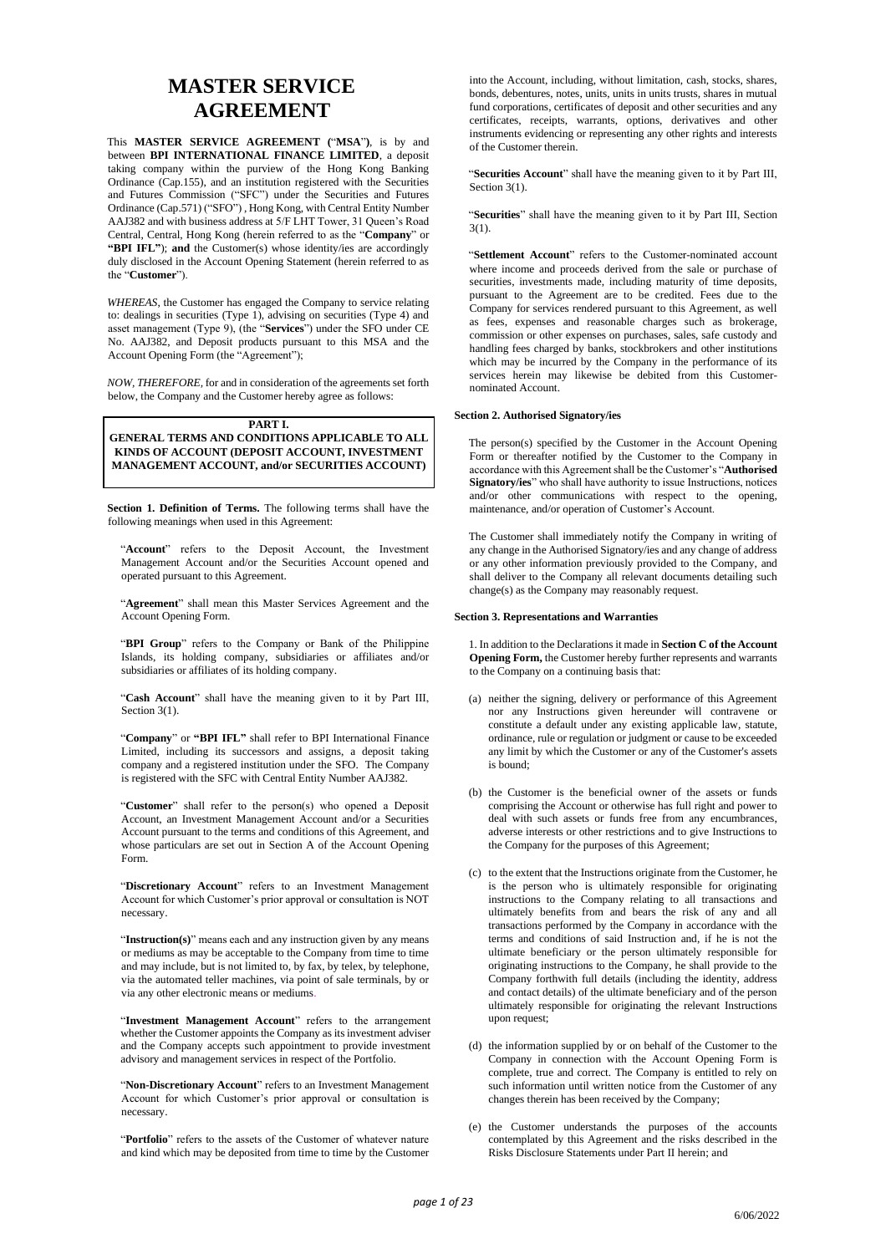# **MASTER SERVICE AGREEMENT**

This **MASTER SERVICE AGREEMENT (**"**MSA**"**)**, is by and between **BPI INTERNATIONAL FINANCE LIMITED**, a deposit taking company within the purview of the Hong Kong Banking Ordinance (Cap.155), and an institution registered with the Securities and Futures Commission ("SFC") under the Securities and Futures Ordinance (Cap.571) ("SFO") , Hong Kong, with Central Entity Number AAJ382 and with business address at 5/F LHT Tower, 31 Queen's Road Central, Central, Hong Kong (herein referred to as the "**Company**" or **"BPI IFL"**); **and** the Customer(s) whose identity/ies are accordingly duly disclosed in the Account Opening Statement (herein referred to as the "**Customer**").

*WHEREAS*, the Customer has engaged the Company to service relating to: dealings in securities (Type 1), advising on securities (Type 4) and asset management (Type 9), (the "**Services**") under the SFO under CE No. AAJ382, and Deposit products pursuant to this MSA and the Account Opening Form (the "Agreement");

*NOW, THEREFORE,* for and in consideration of the agreements set forth below, the Company and the Customer hereby agree as follows:

# **PART I.**

**GENERAL TERMS AND CONDITIONS APPLICABLE TO ALL KINDS OF ACCOUNT (DEPOSIT ACCOUNT, INVESTMENT MANAGEMENT ACCOUNT, and/or SECURITIES ACCOUNT)**

**Section 1. Definition of Terms.** The following terms shall have the following meanings when used in this Agreement:

"Account" refers to the Deposit Account, the Investment Management Account and/or the Securities Account opened and operated pursuant to this Agreement.

"**Agreement**" shall mean this Master Services Agreement and the Account Opening Form.

"**BPI Group**" refers to the Company or Bank of the Philippine Islands, its holding company, subsidiaries or affiliates and/or subsidiaries or affiliates of its holding company.

"**Cash Account**" shall have the meaning given to it by Part III, Section 3(1).

"**Company**" or **"BPI IFL"** shall refer to BPI International Finance Limited, including its successors and assigns, a deposit taking company and a registered institution under the SFO. The Company is registered with the SFC with Central Entity Number AAJ382.

"**Customer**" shall refer to the person(s) who opened a Deposit Account, an Investment Management Account and/or a Securities Account pursuant to the terms and conditions of this Agreement, and whose particulars are set out in Section A of the Account Opening Form.

"**Discretionary Account**" refers to an Investment Management Account for which Customer's prior approval or consultation is NOT necessary.

"Instruction(s)" means each and any instruction given by any means or mediums as may be acceptable to the Company from time to time and may include, but is not limited to, by fax, by telex, by telephone, via the automated teller machines, via point of sale terminals, by or via any other electronic means or mediums.

"**Investment Management Account**" refers to the arrangement whether the Customer appoints the Company as its investment adviser and the Company accepts such appointment to provide investment advisory and management services in respect of the Portfolio.

"**Non-Discretionary Account**" refers to an Investment Management Account for which Customer's prior approval or consultation is necessary.

"**Portfolio**" refers to the assets of the Customer of whatever nature and kind which may be deposited from time to time by the Customer

into the Account, including, without limitation, cash, stocks, shares, bonds, debentures, notes, units, units in units trusts, shares in mutual fund corporations, certificates of deposit and other securities and any certificates, receipts, warrants, options, derivatives and other instruments evidencing or representing any other rights and interests of the Customer therein.

"**Securities Account**" shall have the meaning given to it by Part III, Section 3(1).

"**Securities**" shall have the meaning given to it by Part III, Section 3(1).

"**Settlement Account**" refers to the Customer-nominated account where income and proceeds derived from the sale or purchase of securities, investments made, including maturity of time deposits, pursuant to the Agreement are to be credited. Fees due to the Company for services rendered pursuant to this Agreement, as well as fees, expenses and reasonable charges such as brokerage, commission or other expenses on purchases, sales, safe custody and handling fees charged by banks, stockbrokers and other institutions which may be incurred by the Company in the performance of its services herein may likewise be debited from this Customernominated Account.

### **Section 2. Authorised Signatory/ies**

The person(s) specified by the Customer in the Account Opening Form or thereafter notified by the Customer to the Company in accordance with this Agreement shall be the Customer's "**Authorised Signatory/ies**" who shall have authority to issue Instructions, notices and/or other communications with respect to the opening, maintenance, and/or operation of Customer's Account.

The Customer shall immediately notify the Company in writing of any change in the Authorised Signatory/ies and any change of address or any other information previously provided to the Company, and shall deliver to the Company all relevant documents detailing such change(s) as the Company may reasonably request.

#### **Section 3. Representations and Warranties**

1. In addition to the Declarations it made in **Section C of the Account Opening Form,** the Customer hereby further represents and warrants to the Company on a continuing basis that:

- (a) neither the signing, delivery or performance of this Agreement nor any Instructions given hereunder will contravene or constitute a default under any existing applicable law, statute, ordinance, rule or regulation or judgment or cause to be exceeded any limit by which the Customer or any of the Customer's assets is bound;
- (b) the Customer is the beneficial owner of the assets or funds comprising the Account or otherwise has full right and power to deal with such assets or funds free from any encumbrances, adverse interests or other restrictions and to give Instructions to the Company for the purposes of this Agreement;
- (c) to the extent that the Instructions originate from the Customer, he is the person who is ultimately responsible for originating instructions to the Company relating to all transactions and ultimately benefits from and bears the risk of any and all transactions performed by the Company in accordance with the terms and conditions of said Instruction and, if he is not the ultimate beneficiary or the person ultimately responsible for originating instructions to the Company, he shall provide to the Company forthwith full details (including the identity, address and contact details) of the ultimate beneficiary and of the person ultimately responsible for originating the relevant Instructions upon request;
- (d) the information supplied by or on behalf of the Customer to the Company in connection with the Account Opening Form is complete, true and correct. The Company is entitled to rely on such information until written notice from the Customer of any changes therein has been received by the Company;
- (e) the Customer understands the purposes of the accounts contemplated by this Agreement and the risks described in the Risks Disclosure Statements under Part II herein; and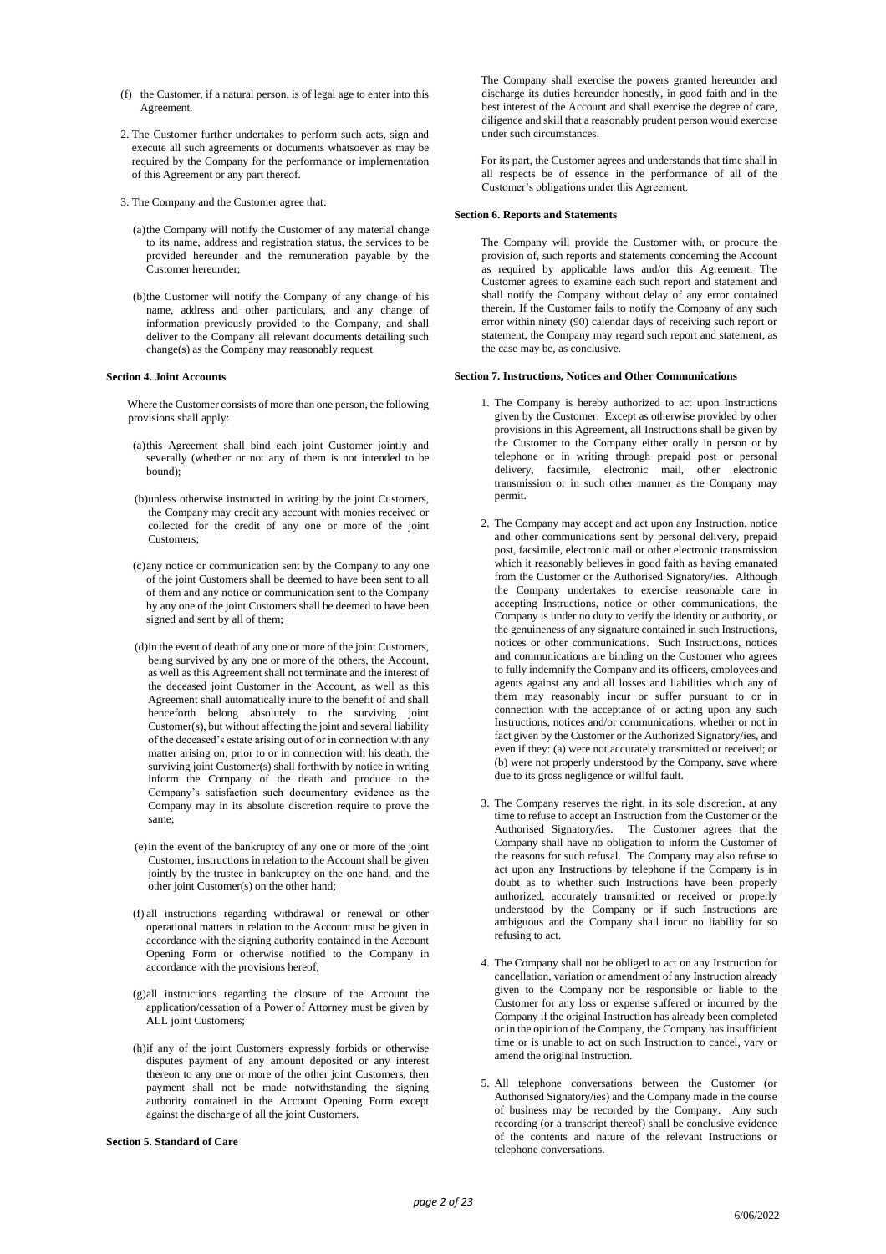- (f) the Customer, if a natural person, is of legal age to enter into this Agreement.
- 2. The Customer further undertakes to perform such acts, sign and execute all such agreements or documents whatsoever as may be required by the Company for the performance or implementation of this Agreement or any part thereof.
- 3. The Company and the Customer agree that:
	- (a)the Company will notify the Customer of any material change to its name, address and registration status, the services to be provided hereunder and the remuneration payable by the Customer hereunder;
	- (b)the Customer will notify the Company of any change of his name, address and other particulars, and any change of information previously provided to the Company, and shall deliver to the Company all relevant documents detailing such change(s) as the Company may reasonably request.

#### **Section 4. Joint Accounts**

Where the Customer consists of more than one person, the following provisions shall apply:

- (a)this Agreement shall bind each joint Customer jointly and severally (whether or not any of them is not intended to be bound);
- (b)unless otherwise instructed in writing by the joint Customers, the Company may credit any account with monies received or collected for the credit of any one or more of the joint Customers;
- (c)any notice or communication sent by the Company to any one of the joint Customers shall be deemed to have been sent to all of them and any notice or communication sent to the Company by any one of the joint Customers shall be deemed to have been signed and sent by all of them;
- (d)in the event of death of any one or more of the joint Customers, being survived by any one or more of the others, the Account, as well as this Agreement shall not terminate and the interest of the deceased joint Customer in the Account, as well as this Agreement shall automatically inure to the benefit of and shall henceforth belong absolutely to the surviving joint Customer(s), but without affecting the joint and several liability of the deceased's estate arising out of or in connection with any matter arising on, prior to or in connection with his death, the surviving joint Customer(s) shall forthwith by notice in writing inform the Company of the death and produce to the Company's satisfaction such documentary evidence as the Company may in its absolute discretion require to prove the same;
- (e)in the event of the bankruptcy of any one or more of the joint Customer, instructions in relation to the Account shall be given jointly by the trustee in bankruptcy on the one hand, and the other joint Customer(s) on the other hand;
- (f) all instructions regarding withdrawal or renewal or other operational matters in relation to the Account must be given in accordance with the signing authority contained in the Account Opening Form or otherwise notified to the Company in accordance with the provisions hereof;
- (g)all instructions regarding the closure of the Account the application/cessation of a Power of Attorney must be given by ALL joint Customers;
- (h)if any of the joint Customers expressly forbids or otherwise disputes payment of any amount deposited or any interest thereon to any one or more of the other joint Customers, then payment shall not be made notwithstanding the signing authority contained in the Account Opening Form except against the discharge of all the joint Customers.

#### **Section 5. Standard of Care**

The Company shall exercise the powers granted hereunder and discharge its duties hereunder honestly, in good faith and in the best interest of the Account and shall exercise the degree of care, diligence and skill that a reasonably prudent person would exercise under such circumstances.

For its part, the Customer agrees and understands that time shall in all respects be of essence in the performance of all of the Customer's obligations under this Agreement.

#### **Section 6. Reports and Statements**

The Company will provide the Customer with, or procure the provision of, such reports and statements concerning the Account as required by applicable laws and/or this Agreement. The Customer agrees to examine each such report and statement and shall notify the Company without delay of any error contained therein. If the Customer fails to notify the Company of any such error within ninety (90) calendar days of receiving such report or statement, the Company may regard such report and statement, as the case may be, as conclusive.

#### **Section 7. Instructions, Notices and Other Communications**

- 1. The Company is hereby authorized to act upon Instructions given by the Customer. Except as otherwise provided by other provisions in this Agreement, all Instructions shall be given by the Customer to the Company either orally in person or by telephone or in writing through prepaid post or personal delivery, facsimile, electronic mail, other electronic transmission or in such other manner as the Company may permit.
- 2. The Company may accept and act upon any Instruction, notice and other communications sent by personal delivery, prepaid post, facsimile, electronic mail or other electronic transmission which it reasonably believes in good faith as having emanated from the Customer or the Authorised Signatory/ies. Although the Company undertakes to exercise reasonable care in accepting Instructions, notice or other communications, the Company is under no duty to verify the identity or authority, or the genuineness of any signature contained in such Instructions, notices or other communications. Such Instructions, notices and communications are binding on the Customer who agrees to fully indemnify the Company and its officers, employees and agents against any and all losses and liabilities which any of them may reasonably incur or suffer pursuant to or in connection with the acceptance of or acting upon any such Instructions, notices and/or communications, whether or not in fact given by the Customer or the Authorized Signatory/ies, and even if they: (a) were not accurately transmitted or received; or (b) were not properly understood by the Company, save where due to its gross negligence or willful fault.
- 3. The Company reserves the right, in its sole discretion, at any time to refuse to accept an Instruction from the Customer or the Authorised Signatory/ies. The Customer agrees that the Company shall have no obligation to inform the Customer of the reasons for such refusal. The Company may also refuse to act upon any Instructions by telephone if the Company is in doubt as to whether such Instructions have been properly authorized, accurately transmitted or received or properly understood by the Company or if such Instructions are ambiguous and the Company shall incur no liability for so refusing to act.
- 4. The Company shall not be obliged to act on any Instruction for cancellation, variation or amendment of any Instruction already given to the Company nor be responsible or liable to the Customer for any loss or expense suffered or incurred by the Company if the original Instruction has already been completed or in the opinion of the Company, the Company has insufficient time or is unable to act on such Instruction to cancel, vary or amend the original Instruction.
- 5. All telephone conversations between the Customer (or Authorised Signatory/ies) and the Company made in the course of business may be recorded by the Company. Any such recording (or a transcript thereof) shall be conclusive evidence of the contents and nature of the relevant Instructions or telephone conversations.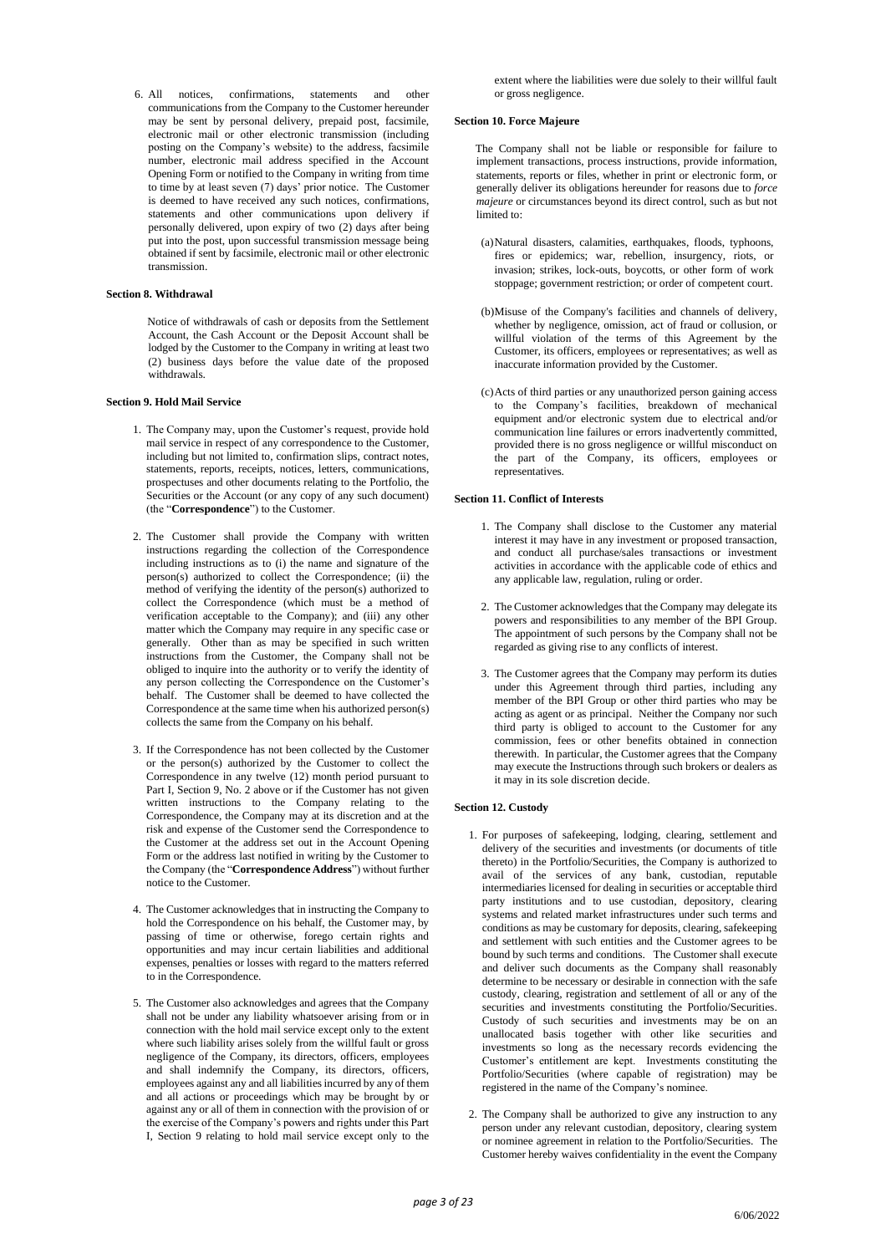6. All notices, confirmations, statements and other communications from the Company to the Customer hereunder may be sent by personal delivery, prepaid post, facsimile, electronic mail or other electronic transmission (including posting on the Company's website) to the address, facsimile number, electronic mail address specified in the Account Opening Form or notified to the Company in writing from time to time by at least seven (7) days' prior notice. The Customer is deemed to have received any such notices, confirmations, statements and other communications upon delivery if personally delivered, upon expiry of two (2) days after being put into the post, upon successful transmission message being obtained if sent by facsimile, electronic mail or other electronic transmission.

# **Section 8. Withdrawal**

Notice of withdrawals of cash or deposits from the Settlement Account, the Cash Account or the Deposit Account shall be lodged by the Customer to the Company in writing at least two (2) business days before the value date of the proposed withdrawals.

# **Section 9. Hold Mail Service**

- 1. The Company may, upon the Customer's request, provide hold mail service in respect of any correspondence to the Customer, including but not limited to, confirmation slips, contract notes, statements, reports, receipts, notices, letters, communications, prospectuses and other documents relating to the Portfolio, the Securities or the Account (or any copy of any such document) (the "**Correspondence**") to the Customer.
- 2. The Customer shall provide the Company with written instructions regarding the collection of the Correspondence including instructions as to (i) the name and signature of the person(s) authorized to collect the Correspondence; (ii) the method of verifying the identity of the person(s) authorized to collect the Correspondence (which must be a method of verification acceptable to the Company); and (iii) any other matter which the Company may require in any specific case or generally. Other than as may be specified in such written instructions from the Customer, the Company shall not be obliged to inquire into the authority or to verify the identity of any person collecting the Correspondence on the Customer's behalf. The Customer shall be deemed to have collected the Correspondence at the same time when his authorized person(s) collects the same from the Company on his behalf.
- 3. If the Correspondence has not been collected by the Customer or the person(s) authorized by the Customer to collect the Correspondence in any twelve (12) month period pursuant to Part I, Section 9, No. 2 above or if the Customer has not given written instructions to the Company relating to the Correspondence, the Company may at its discretion and at the risk and expense of the Customer send the Correspondence to the Customer at the address set out in the Account Opening Form or the address last notified in writing by the Customer to the Company (the "**Correspondence Address**") without further notice to the Customer.
- 4. The Customer acknowledges that in instructing the Company to hold the Correspondence on his behalf, the Customer may, by passing of time or otherwise, forego certain rights and opportunities and may incur certain liabilities and additional expenses, penalties or losses with regard to the matters referred to in the Correspondence.
- 5. The Customer also acknowledges and agrees that the Company shall not be under any liability whatsoever arising from or in connection with the hold mail service except only to the extent where such liability arises solely from the willful fault or gross negligence of the Company, its directors, officers, employees and shall indemnify the Company, its directors, officers, employees against any and all liabilities incurred by any of them and all actions or proceedings which may be brought by or against any or all of them in connection with the provision of or the exercise of the Company's powers and rights under this Part I, Section 9 relating to hold mail service except only to the

extent where the liabilities were due solely to their willful fault or gross negligence.

# **Section 10. Force Majeure**

The Company shall not be liable or responsible for failure to implement transactions, process instructions, provide information, statements, reports or files, whether in print or electronic form, or generally deliver its obligations hereunder for reasons due to *force majeure* or circumstances beyond its direct control, such as but not limited to:

- (a)Natural disasters, calamities, earthquakes, floods, typhoons, fires or epidemics; war, rebellion, insurgency, riots, or invasion; strikes, lock-outs, boycotts, or other form of work stoppage; government restriction; or order of competent court.
- (b)Misuse of the Company's facilities and channels of delivery, whether by negligence, omission, act of fraud or collusion, or willful violation of the terms of this Agreement by the Customer, its officers, employees or representatives; as well as inaccurate information provided by the Customer.
- (c)Acts of third parties or any unauthorized person gaining access to the Company's facilities, breakdown of mechanical equipment and/or electronic system due to electrical and/or communication line failures or errors inadvertently committed, provided there is no gross negligence or willful misconduct on the part of the Company, its officers, employees or representatives.

# **Section 11. Conflict of Interests**

- 1. The Company shall disclose to the Customer any material interest it may have in any investment or proposed transaction, and conduct all purchase/sales transactions or investment activities in accordance with the applicable code of ethics and any applicable law, regulation, ruling or order.
- 2. The Customer acknowledges that the Company may delegate its powers and responsibilities to any member of the BPI Group. The appointment of such persons by the Company shall not be regarded as giving rise to any conflicts of interest.
- 3. The Customer agrees that the Company may perform its duties under this Agreement through third parties, including any member of the BPI Group or other third parties who may be acting as agent or as principal. Neither the Company nor such third party is obliged to account to the Customer for any commission, fees or other benefits obtained in connection therewith. In particular, the Customer agrees that the Company may execute the Instructions through such brokers or dealers as it may in its sole discretion decide.

#### **Section 12. Custody**

- 1. For purposes of safekeeping, lodging, clearing, settlement and delivery of the securities and investments (or documents of title thereto) in the Portfolio/Securities, the Company is authorized to avail of the services of any bank, custodian, reputable intermediaries licensed for dealing in securities or acceptable third party institutions and to use custodian, depository, clearing systems and related market infrastructures under such terms and conditions as may be customary for deposits, clearing, safekeeping and settlement with such entities and the Customer agrees to be bound by such terms and conditions. The Customer shall execute and deliver such documents as the Company shall reasonably determine to be necessary or desirable in connection with the safe custody, clearing, registration and settlement of all or any of the securities and investments constituting the Portfolio/Securities. Custody of such securities and investments may be on an unallocated basis together with other like securities and investments so long as the necessary records evidencing the Customer's entitlement are kept. Investments constituting the Portfolio/Securities (where capable of registration) may be registered in the name of the Company's nominee.
- 2. The Company shall be authorized to give any instruction to any person under any relevant custodian, depository, clearing system or nominee agreement in relation to the Portfolio/Securities. The Customer hereby waives confidentiality in the event the Company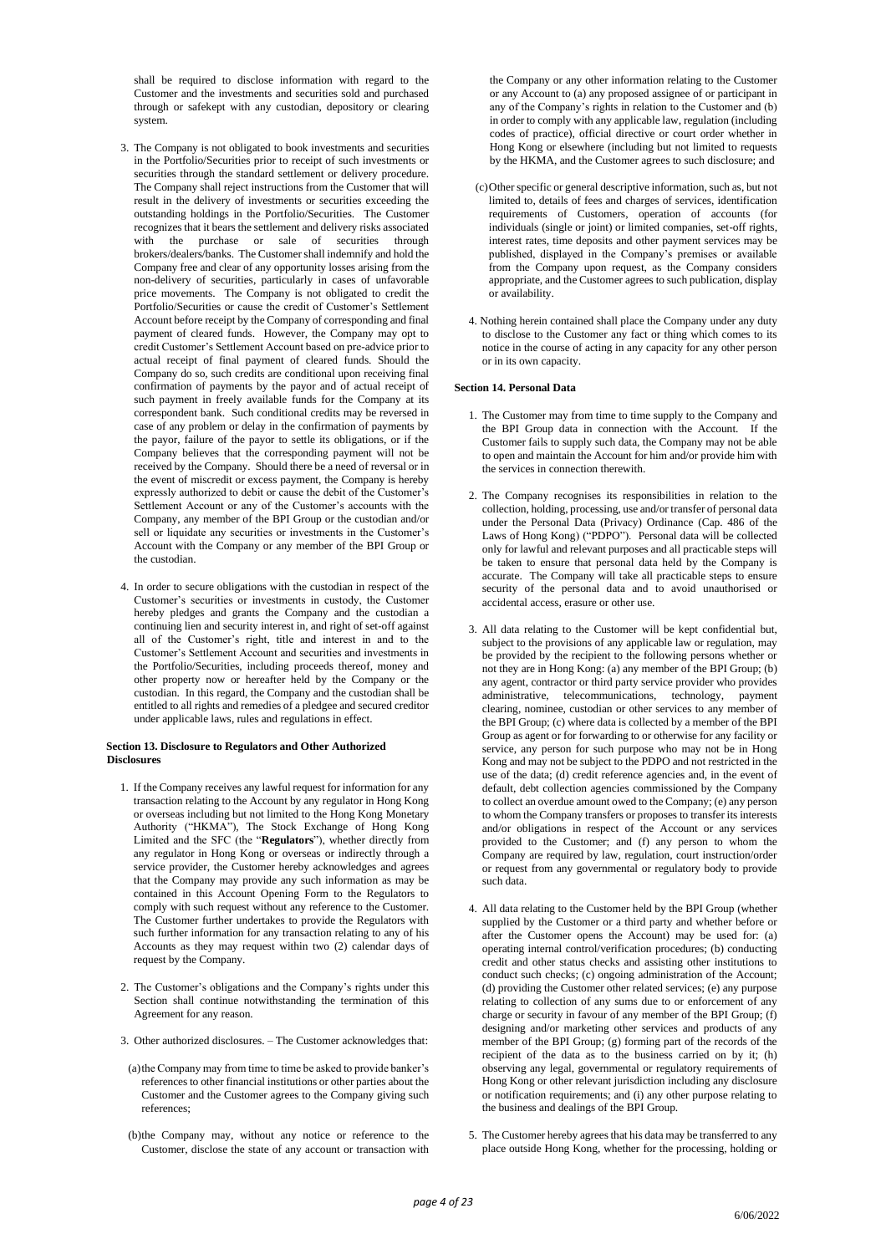shall be required to disclose information with regard to the Customer and the investments and securities sold and purchased through or safekept with any custodian, depository or clearing system.

- 3. The Company is not obligated to book investments and securities in the Portfolio/Securities prior to receipt of such investments or securities through the standard settlement or delivery procedure. The Company shall reject instructions from the Customer that will result in the delivery of investments or securities exceeding the outstanding holdings in the Portfolio/Securities. The Customer recognizes that it bears the settlement and delivery risks associated with the purchase or sale of securities through brokers/dealers/banks. The Customer shall indemnify and hold the Company free and clear of any opportunity losses arising from the non-delivery of securities, particularly in cases of unfavorable price movements. The Company is not obligated to credit the Portfolio/Securities or cause the credit of Customer's Settlement Account before receipt by the Company of corresponding and final payment of cleared funds. However, the Company may opt to credit Customer's Settlement Account based on pre-advice prior to actual receipt of final payment of cleared funds. Should the Company do so, such credits are conditional upon receiving final confirmation of payments by the payor and of actual receipt of such payment in freely available funds for the Company at its correspondent bank. Such conditional credits may be reversed in case of any problem or delay in the confirmation of payments by the payor, failure of the payor to settle its obligations, or if the Company believes that the corresponding payment will not be received by the Company. Should there be a need of reversal or in the event of miscredit or excess payment, the Company is hereby expressly authorized to debit or cause the debit of the Customer's Settlement Account or any of the Customer's accounts with the Company, any member of the BPI Group or the custodian and/or sell or liquidate any securities or investments in the Customer's Account with the Company or any member of the BPI Group or the custodian.
- 4. In order to secure obligations with the custodian in respect of the Customer's securities or investments in custody, the Customer hereby pledges and grants the Company and the custodian a continuing lien and security interest in, and right of set-off against all of the Customer's right, title and interest in and to the Customer's Settlement Account and securities and investments in the Portfolio/Securities, including proceeds thereof, money and other property now or hereafter held by the Company or the custodian. In this regard, the Company and the custodian shall be entitled to all rights and remedies of a pledgee and secured creditor under applicable laws, rules and regulations in effect.

#### **Section 13. Disclosure to Regulators and Other Authorized Disclosures**

- 1. If the Company receives any lawful request for information for any transaction relating to the Account by any regulator in Hong Kong or overseas including but not limited to the Hong Kong Monetary Authority ("HKMA"), The Stock Exchange of Hong Kong Limited and the SFC (the "**Regulators**"), whether directly from any regulator in Hong Kong or overseas or indirectly through a service provider, the Customer hereby acknowledges and agrees that the Company may provide any such information as may be contained in this Account Opening Form to the Regulators to comply with such request without any reference to the Customer. The Customer further undertakes to provide the Regulators with such further information for any transaction relating to any of his Accounts as they may request within two (2) calendar days of request by the Company.
- 2. The Customer's obligations and the Company's rights under this Section shall continue notwithstanding the termination of this Agreement for any reason.
- 3. Other authorized disclosures. The Customer acknowledges that:
- (a)the Company may from time to time be asked to provide banker's references to other financial institutions or other parties about the Customer and the Customer agrees to the Company giving such references;
- (b)the Company may, without any notice or reference to the Customer, disclose the state of any account or transaction with

the Company or any other information relating to the Customer or any Account to (a) any proposed assignee of or participant in any of the Company's rights in relation to the Customer and (b) in order to comply with any applicable law, regulation (including codes of practice), official directive or court order whether in Hong Kong or elsewhere (including but not limited to requests by the HKMA, and the Customer agrees to such disclosure; and

- (c)Other specific or general descriptive information, such as, but not limited to, details of fees and charges of services, identification requirements of Customers, operation of accounts (for individuals (single or joint) or limited companies, set-off rights, interest rates, time deposits and other payment services may be published, displayed in the Company's premises or available from the Company upon request, as the Company considers appropriate, and the Customer agrees to such publication, display or availability.
- 4. Nothing herein contained shall place the Company under any duty to disclose to the Customer any fact or thing which comes to its notice in the course of acting in any capacity for any other person or in its own capacity.

# **Section 14. Personal Data**

- 1. The Customer may from time to time supply to the Company and the BPI Group data in connection with the Account. If the Customer fails to supply such data, the Company may not be able to open and maintain the Account for him and/or provide him with the services in connection therewith.
- 2. The Company recognises its responsibilities in relation to the collection, holding, processing, use and/or transfer of personal data under the Personal Data (Privacy) Ordinance (Cap. 486 of the Laws of Hong Kong) ("PDPO"). Personal data will be collected only for lawful and relevant purposes and all practicable steps will be taken to ensure that personal data held by the Company is accurate. The Company will take all practicable steps to ensure security of the personal data and to avoid unauthorised or accidental access, erasure or other use.
- 3. All data relating to the Customer will be kept confidential but, subject to the provisions of any applicable law or regulation, may be provided by the recipient to the following persons whether or not they are in Hong Kong: (a) any member of the BPI Group; (b) any agent, contractor or third party service provider who provides administrative, telecommunications, technology, payment clearing, nominee, custodian or other services to any member of the BPI Group; (c) where data is collected by a member of the BPI Group as agent or for forwarding to or otherwise for any facility or service, any person for such purpose who may not be in Hong Kong and may not be subject to the PDPO and not restricted in the use of the data; (d) credit reference agencies and, in the event of default, debt collection agencies commissioned by the Company to collect an overdue amount owed to the Company; (e) any person to whom the Company transfers or proposes to transfer its interests and/or obligations in respect of the Account or any services provided to the Customer; and (f) any person to whom the Company are required by law, regulation, court instruction/order or request from any governmental or regulatory body to provide such data.
- 4. All data relating to the Customer held by the BPI Group (whether supplied by the Customer or a third party and whether before or after the Customer opens the Account) may be used for: (a) operating internal control/verification procedures; (b) conducting credit and other status checks and assisting other institutions to conduct such checks; (c) ongoing administration of the Account; (d) providing the Customer other related services; (e) any purpose relating to collection of any sums due to or enforcement of any charge or security in favour of any member of the BPI Group; (f) designing and/or marketing other services and products of any member of the BPI Group; (g) forming part of the records of the recipient of the data as to the business carried on by it; (h) observing any legal, governmental or regulatory requirements of Hong Kong or other relevant jurisdiction including any disclosure or notification requirements; and (i) any other purpose relating to the business and dealings of the BPI Group.
- 5. The Customer hereby agrees that his data may be transferred to any place outside Hong Kong, whether for the processing, holding or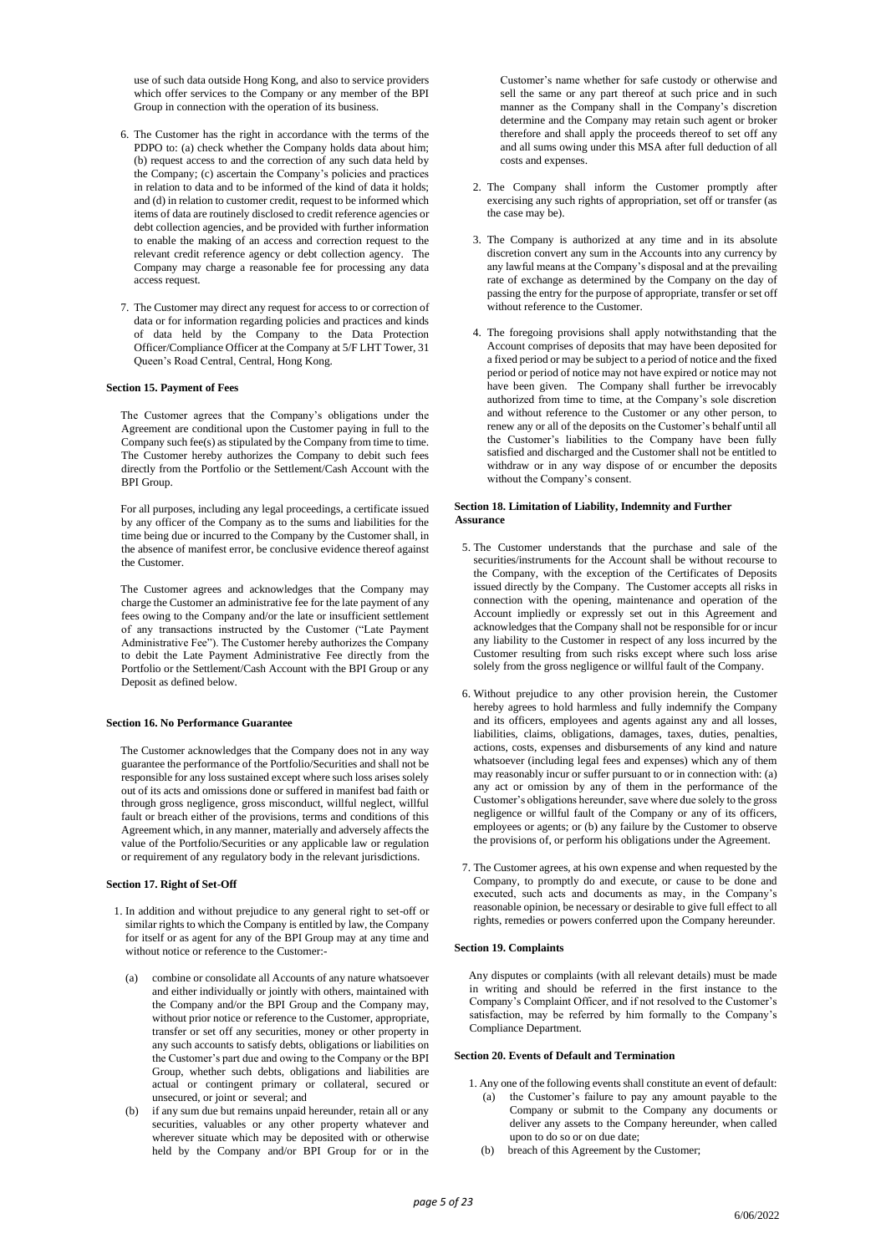use of such data outside Hong Kong, and also to service providers which offer services to the Company or any member of the BPI Group in connection with the operation of its business.

- 6. The Customer has the right in accordance with the terms of the PDPO to: (a) check whether the Company holds data about him; (b) request access to and the correction of any such data held by the Company; (c) ascertain the Company's policies and practices in relation to data and to be informed of the kind of data it holds; and (d) in relation to customer credit, request to be informed which items of data are routinely disclosed to credit reference agencies or debt collection agencies, and be provided with further information to enable the making of an access and correction request to the relevant credit reference agency or debt collection agency. The Company may charge a reasonable fee for processing any data access request.
- 7. The Customer may direct any request for access to or correction of data or for information regarding policies and practices and kinds of data held by the Company to the Data Protection Officer/Compliance Officer at the Company at 5/F LHT Tower, 31 Queen's Road Central, Central, Hong Kong.

#### **Section 15. Payment of Fees**

The Customer agrees that the Company's obligations under the Agreement are conditional upon the Customer paying in full to the Company such fee(s) as stipulated by the Company from time to time. The Customer hereby authorizes the Company to debit such fees directly from the Portfolio or the Settlement/Cash Account with the BPI Group.

For all purposes, including any legal proceedings, a certificate issued by any officer of the Company as to the sums and liabilities for the time being due or incurred to the Company by the Customer shall, in the absence of manifest error, be conclusive evidence thereof against the Customer.

The Customer agrees and acknowledges that the Company may charge the Customer an administrative fee for the late payment of any fees owing to the Company and/or the late or insufficient settlement of any transactions instructed by the Customer ("Late Payment Administrative Fee"). The Customer hereby authorizes the Company to debit the Late Payment Administrative Fee directly from the Portfolio or the Settlement/Cash Account with the BPI Group or any Deposit as defined below.

# **Section 16. No Performance Guarantee**

The Customer acknowledges that the Company does not in any way guarantee the performance of the Portfolio/Securities and shall not be responsible for any loss sustained except where such loss arises solely out of its acts and omissions done or suffered in manifest bad faith or through gross negligence, gross misconduct, willful neglect, willful fault or breach either of the provisions, terms and conditions of this Agreement which, in any manner, materially and adversely affects the value of the Portfolio/Securities or any applicable law or regulation or requirement of any regulatory body in the relevant jurisdictions.

#### **Section 17. Right of Set-Off**

- 1. In addition and without prejudice to any general right to set-off or similar rights to which the Company is entitled by law, the Company for itself or as agent for any of the BPI Group may at any time and without notice or reference to the Customer:-
	- (a) combine or consolidate all Accounts of any nature whatsoever and either individually or jointly with others, maintained with the Company and/or the BPI Group and the Company may, without prior notice or reference to the Customer, appropriate, transfer or set off any securities, money or other property in any such accounts to satisfy debts, obligations or liabilities on the Customer's part due and owing to the Company or the BPI Group, whether such debts, obligations and liabilities are actual or contingent primary or collateral, secured or unsecured, or joint or several; and
	- (b) if any sum due but remains unpaid hereunder, retain all or any securities, valuables or any other property whatever and wherever situate which may be deposited with or otherwise held by the Company and/or BPI Group for or in the

Customer's name whether for safe custody or otherwise and sell the same or any part thereof at such price and in such manner as the Company shall in the Company's discretion determine and the Company may retain such agent or broker therefore and shall apply the proceeds thereof to set off any and all sums owing under this MSA after full deduction of all costs and expenses.

- 2. The Company shall inform the Customer promptly after exercising any such rights of appropriation, set off or transfer (as the case may be).
- 3. The Company is authorized at any time and in its absolute discretion convert any sum in the Accounts into any currency by any lawful means at the Company's disposal and at the prevailing rate of exchange as determined by the Company on the day of passing the entry for the purpose of appropriate, transfer or set off without reference to the Customer.
- 4. The foregoing provisions shall apply notwithstanding that the Account comprises of deposits that may have been deposited for a fixed period or may be subject to a period of notice and the fixed period or period of notice may not have expired or notice may not have been given. The Company shall further be irrevocably authorized from time to time, at the Company's sole discretion and without reference to the Customer or any other person, to renew any or all of the deposits on the Customer's behalf until all the Customer's liabilities to the Company have been fully satisfied and discharged and the Customer shall not be entitled to withdraw or in any way dispose of or encumber the deposits without the Company's consent.

#### **Section 18. Limitation of Liability, Indemnity and Further Assurance**

- 5. The Customer understands that the purchase and sale of the securities/instruments for the Account shall be without recourse to the Company, with the exception of the Certificates of Deposits issued directly by the Company. The Customer accepts all risks in connection with the opening, maintenance and operation of the Account impliedly or expressly set out in this Agreement and acknowledges that the Company shall not be responsible for or incur any liability to the Customer in respect of any loss incurred by the Customer resulting from such risks except where such loss arise solely from the gross negligence or willful fault of the Company.
- 6. Without prejudice to any other provision herein, the Customer hereby agrees to hold harmless and fully indemnify the Company and its officers, employees and agents against any and all losses, liabilities, claims, obligations, damages, taxes, duties, penalties, actions, costs, expenses and disbursements of any kind and nature whatsoever (including legal fees and expenses) which any of them may reasonably incur or suffer pursuant to or in connection with: (a) any act or omission by any of them in the performance of the Customer's obligations hereunder, save where due solely to the gross negligence or willful fault of the Company or any of its officers, employees or agents; or (b) any failure by the Customer to observe the provisions of, or perform his obligations under the Agreement.
- 7. The Customer agrees, at his own expense and when requested by the Company, to promptly do and execute, or cause to be done and executed, such acts and documents as may, in the Company's reasonable opinion, be necessary or desirable to give full effect to all rights, remedies or powers conferred upon the Company hereunder.

#### **Section 19. Complaints**

Any disputes or complaints (with all relevant details) must be made in writing and should be referred in the first instance to the Company's Complaint Officer, and if not resolved to the Customer's satisfaction, may be referred by him formally to the Company's Compliance Department.

#### **Section 20. Events of Default and Termination**

- 1. Any one of the following events shall constitute an event of default:
	- (a) the Customer's failure to pay any amount payable to the Company or submit to the Company any documents or deliver any assets to the Company hereunder, when called upon to do so or on due date;
- (b) breach of this Agreement by the Customer;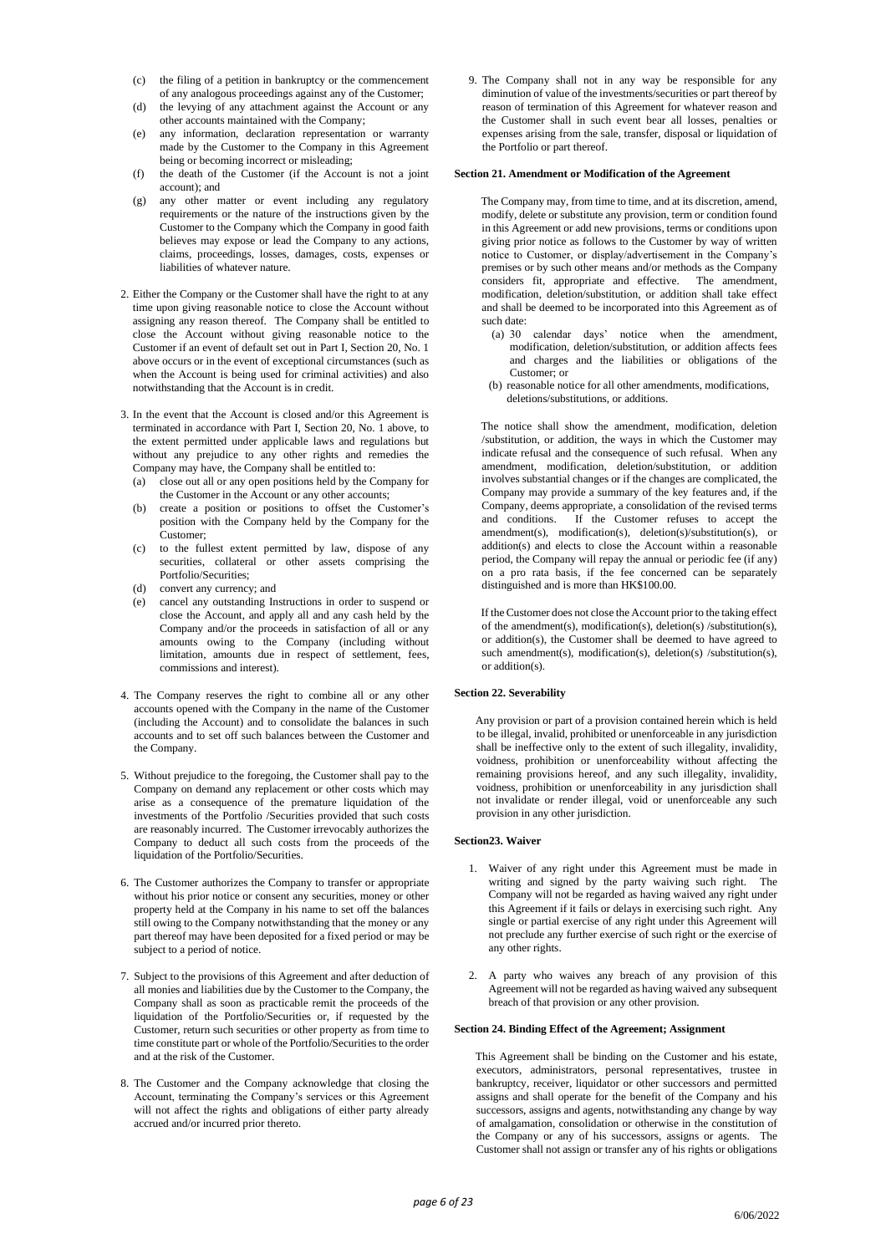- (c) the filing of a petition in bankruptcy or the commencement of any analogous proceedings against any of the Customer;
- (d) the levying of any attachment against the Account or any other accounts maintained with the Company;
- (e) any information, declaration representation or warranty made by the Customer to the Company in this Agreement being or becoming incorrect or misleading;
- (f) the death of the Customer (if the Account is not a joint account); and
- (g) any other matter or event including any regulatory requirements or the nature of the instructions given by the Customer to the Company which the Company in good faith believes may expose or lead the Company to any actions, claims, proceedings, losses, damages, costs, expenses or liabilities of whatever nature.
- 2. Either the Company or the Customer shall have the right to at any time upon giving reasonable notice to close the Account without assigning any reason thereof. The Company shall be entitled to close the Account without giving reasonable notice to the Customer if an event of default set out in Part I, Section 20, No. 1 above occurs or in the event of exceptional circumstances (such as when the Account is being used for criminal activities) and also notwithstanding that the Account is in credit.
- 3. In the event that the Account is closed and/or this Agreement is terminated in accordance with Part I, Section 20, No. 1 above, to the extent permitted under applicable laws and regulations but without any prejudice to any other rights and remedies the Company may have, the Company shall be entitled to:
	- (a) close out all or any open positions held by the Company for the Customer in the Account or any other accounts;
	- (b) create a position or positions to offset the Customer's position with the Company held by the Company for the Customer;
	- (c) to the fullest extent permitted by law, dispose of any securities, collateral or other assets comprising the Portfolio/Securities:
	- (d) convert any currency; and
	- cancel any outstanding Instructions in order to suspend or close the Account, and apply all and any cash held by the Company and/or the proceeds in satisfaction of all or any amounts owing to the Company (including without limitation, amounts due in respect of settlement, fees, commissions and interest).
- 4. The Company reserves the right to combine all or any other accounts opened with the Company in the name of the Customer (including the Account) and to consolidate the balances in such accounts and to set off such balances between the Customer and the Company.
- 5. Without prejudice to the foregoing, the Customer shall pay to the Company on demand any replacement or other costs which may arise as a consequence of the premature liquidation of the investments of the Portfolio /Securities provided that such costs are reasonably incurred. The Customer irrevocably authorizes the Company to deduct all such costs from the proceeds of the liquidation of the Portfolio/Securities.
- 6. The Customer authorizes the Company to transfer or appropriate without his prior notice or consent any securities, money or other property held at the Company in his name to set off the balances still owing to the Company notwithstanding that the money or any part thereof may have been deposited for a fixed period or may be subject to a period of notice.
- 7. Subject to the provisions of this Agreement and after deduction of all monies and liabilities due by the Customer to the Company, the Company shall as soon as practicable remit the proceeds of the liquidation of the Portfolio/Securities or, if requested by the Customer, return such securities or other property as from time to time constitute part or whole of the Portfolio/Securities to the order and at the risk of the Customer.
- 8. The Customer and the Company acknowledge that closing the Account, terminating the Company's services or this Agreement will not affect the rights and obligations of either party already accrued and/or incurred prior thereto.

9. The Company shall not in any way be responsible for any diminution of value of the investments/securities or part thereof by reason of termination of this Agreement for whatever reason and the Customer shall in such event bear all losses, penalties or expenses arising from the sale, transfer, disposal or liquidation of the Portfolio or part thereof.

# **Section 21. Amendment or Modification of the Agreement**

The Company may, from time to time, and at its discretion, amend, modify, delete or substitute any provision, term or condition found in this Agreement or add new provisions, terms or conditions upon giving prior notice as follows to the Customer by way of written notice to Customer, or display/advertisement in the Company's premises or by such other means and/or methods as the Company considers fit, appropriate and effective. The amendment, modification, deletion/substitution, or addition shall take effect and shall be deemed to be incorporated into this Agreement as of such date:

- (a) 30 calendar days' notice when the amendment, modification, deletion/substitution, or addition affects fees and charges and the liabilities or obligations of the Customer; or
- (b) reasonable notice for all other amendments, modifications, deletions/substitutions, or additions.

The notice shall show the amendment, modification, deletion /substitution, or addition, the ways in which the Customer may indicate refusal and the consequence of such refusal. When any amendment, modification, deletion/substitution, or addition involves substantial changes or if the changes are complicated, the Company may provide a summary of the key features and, if the Company, deems appropriate, a consolidation of the revised terms<br>and conditions. If the Customer refuses to accept the If the Customer refuses to accept the  $amendment(s)$ , modification(s), deletion(s)/substitution(s), or addition(s) and elects to close the Account within a reasonable period, the Company will repay the annual or periodic fee (if any) on a pro rata basis, if the fee concerned can be separately distinguished and is more than HK\$100.00.

If the Customer does not close the Account prior to the taking effect of the amendment(s), modification(s), deletion(s) /substitution(s), or addition(s), the Customer shall be deemed to have agreed to such amendment(s), modification(s), deletion(s) /substitution(s), or addition(s).

# **Section 22. Severability**

Any provision or part of a provision contained herein which is held to be illegal, invalid, prohibited or unenforceable in any jurisdiction shall be ineffective only to the extent of such illegality, invalidity, voidness, prohibition or unenforceability without affecting the remaining provisions hereof, and any such illegality, invalidity, voidness, prohibition or unenforceability in any jurisdiction shall not invalidate or render illegal, void or unenforceable any such provision in any other jurisdiction.

# **Section23. Waiver**

- 1. Waiver of any right under this Agreement must be made in writing and signed by the party waiving such right. The Company will not be regarded as having waived any right under this Agreement if it fails or delays in exercising such right. Any single or partial exercise of any right under this Agreement will not preclude any further exercise of such right or the exercise of any other rights.
- 2. A party who waives any breach of any provision of this Agreement will not be regarded as having waived any subsequent breach of that provision or any other provision.

#### **Section 24. Binding Effect of the Agreement; Assignment**

This Agreement shall be binding on the Customer and his estate, executors, administrators, personal representatives, trustee in bankruptcy, receiver, liquidator or other successors and permitted assigns and shall operate for the benefit of the Company and his successors, assigns and agents, notwithstanding any change by way of amalgamation, consolidation or otherwise in the constitution of the Company or any of his successors, assigns or agents. The Customer shall not assign or transfer any of his rights or obligations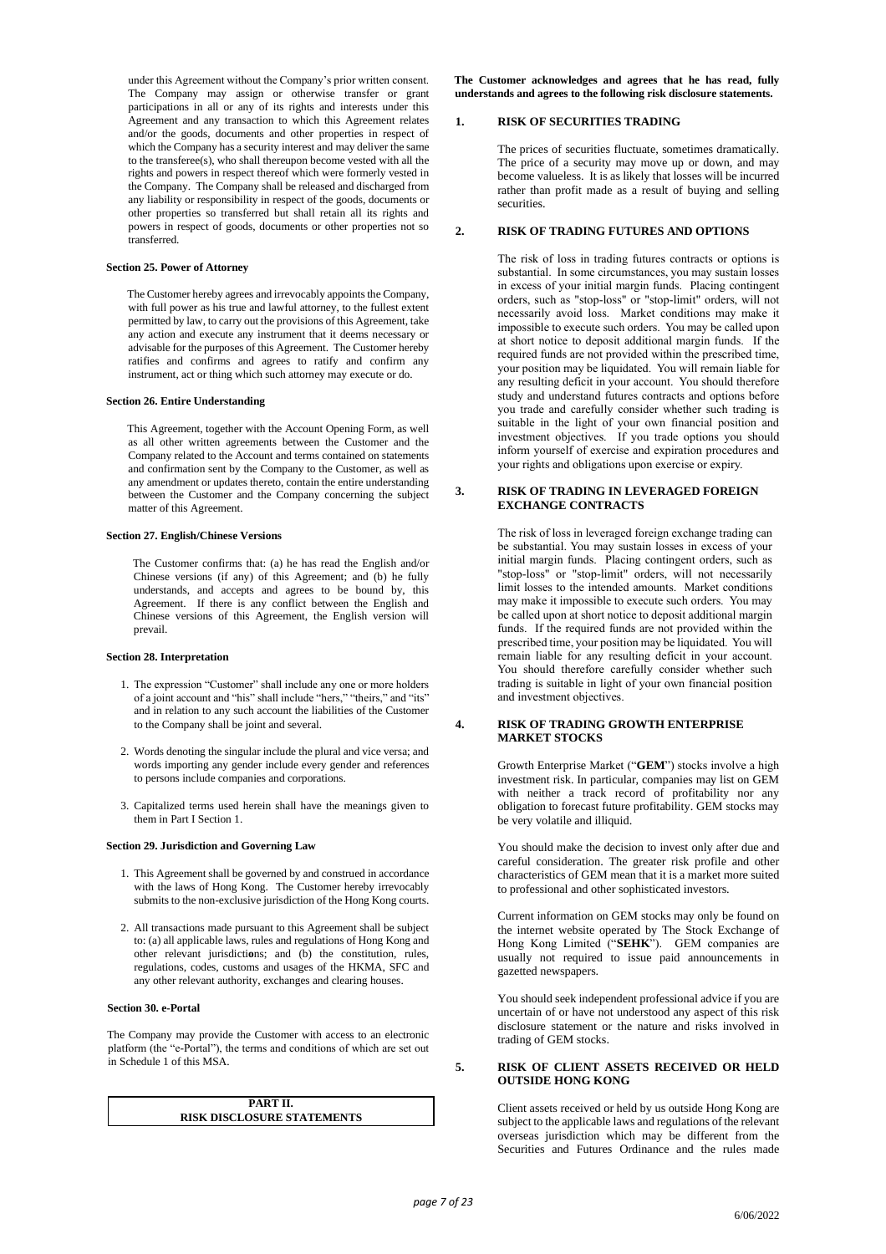under this Agreement without the Company's prior written consent. The Company may assign or otherwise transfer or grant participations in all or any of its rights and interests under this Agreement and any transaction to which this Agreement relates and/or the goods, documents and other properties in respect of which the Company has a security interest and may deliver the same to the transferee(s), who shall thereupon become vested with all the rights and powers in respect thereof which were formerly vested in the Company. The Company shall be released and discharged from any liability or responsibility in respect of the goods, documents or other properties so transferred but shall retain all its rights and powers in respect of goods, documents or other properties not so transferred.

# **Section 25. Power of Attorney**

The Customer hereby agrees and irrevocably appoints the Company, with full power as his true and lawful attorney, to the fullest extent permitted by law, to carry out the provisions of this Agreement, take any action and execute any instrument that it deems necessary or advisable for the purposes of this Agreement. The Customer hereby ratifies and confirms and agrees to ratify and confirm any instrument, act or thing which such attorney may execute or do.

#### **Section 26. Entire Understanding**

This Agreement, together with the Account Opening Form, as well as all other written agreements between the Customer and the Company related to the Account and terms contained on statements and confirmation sent by the Company to the Customer, as well as any amendment or updates thereto, contain the entire understanding between the Customer and the Company concerning the subject matter of this Agreement.

#### **Section 27. English/Chinese Versions**

The Customer confirms that: (a) he has read the English and/or Chinese versions (if any) of this Agreement; and (b) he fully understands, and accepts and agrees to be bound by, this Agreement. If there is any conflict between the English and Chinese versions of this Agreement, the English version will prevail.

# **Section 28. Interpretation**

- 1. The expression "Customer" shall include any one or more holders of a joint account and "his" shall include "hers," "theirs," and "its" and in relation to any such account the liabilities of the Customer to the Company shall be joint and several.
- 2. Words denoting the singular include the plural and vice versa; and words importing any gender include every gender and references to persons include companies and corporations.
- 3. Capitalized terms used herein shall have the meanings given to them in Part I Section 1.

#### **Section 29. Jurisdiction and Governing Law**

- 1. This Agreement shall be governed by and construed in accordance with the laws of Hong Kong. The Customer hereby irrevocably submits to the non-exclusive jurisdiction of the Hong Kong courts.
- 2. All transactions made pursuant to this Agreement shall be subject to: (a) all applicable laws, rules and regulations of Hong Kong and other relevant jurisdicti**o**ns; and (b) the constitution, rules, regulations, codes, customs and usages of the HKMA, SFC and any other relevant authority, exchanges and clearing houses.

#### **Section 30. e-Portal**

The Company may provide the Customer with access to an electronic platform (the "e-Portal"), the terms and conditions of which are set out in Schedule 1 of this MSA.

# **PART II. RISK DISCLOSURE STATEMENTS**

**The Customer acknowledges and agrees that he has read, fully understands and agrees to the following risk disclosure statements.** 

# **1. RISK OF SECURITIES TRADING**

The prices of securities fluctuate, sometimes dramatically. The price of a security may move up or down, and may become valueless. It is as likely that losses will be incurred rather than profit made as a result of buying and selling securities.

# **2. RISK OF TRADING FUTURES AND OPTIONS**

The risk of loss in trading futures contracts or options is substantial. In some circumstances, you may sustain losses in excess of your initial margin funds. Placing contingent orders, such as "stop-loss" or "stop-limit" orders, will not necessarily avoid loss. Market conditions may make it impossible to execute such orders. You may be called upon at short notice to deposit additional margin funds. If the required funds are not provided within the prescribed time, your position may be liquidated. You will remain liable for any resulting deficit in your account. You should therefore study and understand futures contracts and options before you trade and carefully consider whether such trading is suitable in the light of your own financial position and investment objectives. If you trade options you should inform yourself of exercise and expiration procedures and your rights and obligations upon exercise or expiry.

### **3. RISK OF TRADING IN LEVERAGED FOREIGN EXCHANGE CONTRACTS**

The risk of loss in leveraged foreign exchange trading can be substantial. You may sustain losses in excess of your initial margin funds. Placing contingent orders, such as "stop-loss" or "stop-limit" orders, will not necessarily limit losses to the intended amounts. Market conditions may make it impossible to execute such orders. You may be called upon at short notice to deposit additional margin funds. If the required funds are not provided within the prescribed time, your position may be liquidated. You will remain liable for any resulting deficit in your account. You should therefore carefully consider whether such trading is suitable in light of your own financial position and investment objectives.

# **4. RISK OF TRADING GROWTH ENTERPRISE MARKET STOCKS**

Growth Enterprise Market ("**GEM**") stocks involve a high investment risk. In particular, companies may list on GEM with neither a track record of profitability nor any obligation to forecast future profitability. GEM stocks may be very volatile and illiquid.

You should make the decision to invest only after due and careful consideration. The greater risk profile and other characteristics of GEM mean that it is a market more suited to professional and other sophisticated investors.

Current information on GEM stocks may only be found on the internet website operated by The Stock Exchange of Hong Kong Limited ("**SEHK**"). GEM companies are usually not required to issue paid announcements in gazetted newspapers.

You should seek independent professional advice if you are uncertain of or have not understood any aspect of this risk disclosure statement or the nature and risks involved in trading of GEM stocks.

# **5. RISK OF CLIENT ASSETS RECEIVED OR HELD OUTSIDE HONG KONG**

Client assets received or held by us outside Hong Kong are subject to the applicable laws and regulations of the relevant overseas jurisdiction which may be different from the Securities and Futures Ordinance and the rules made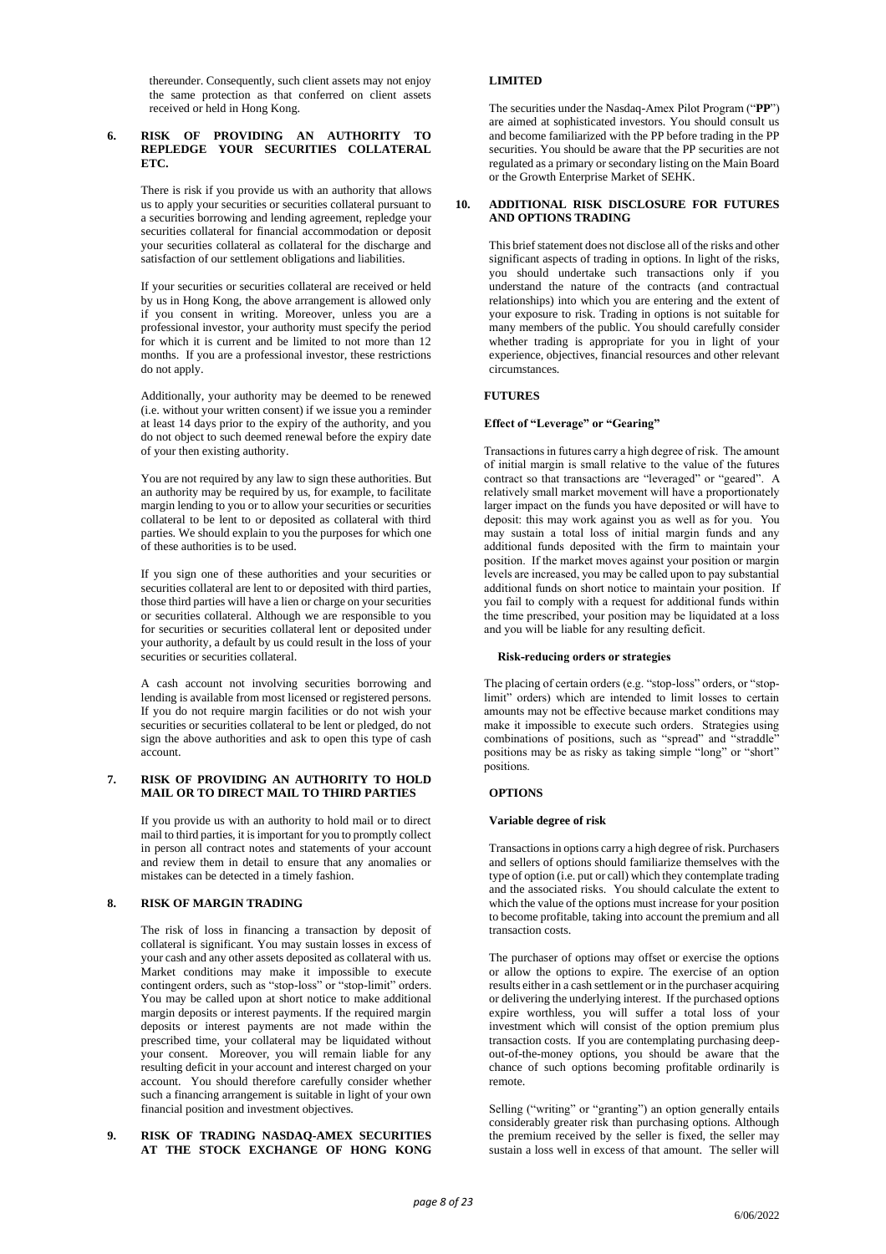thereunder. Consequently, such client assets may not enjoy the same protection as that conferred on client assets received or held in Hong Kong.

# **6. RISK OF PROVIDING AN AUTHORITY TO REPLEDGE YOUR SECURITIES COLLATERAL ETC.**

There is risk if you provide us with an authority that allows us to apply your securities or securities collateral pursuant to a securities borrowing and lending agreement, repledge your securities collateral for financial accommodation or deposit your securities collateral as collateral for the discharge and satisfaction of our settlement obligations and liabilities.

If your securities or securities collateral are received or held by us in Hong Kong, the above arrangement is allowed only if you consent in writing. Moreover, unless you are a professional investor, your authority must specify the period for which it is current and be limited to not more than 12 months. If you are a professional investor, these restrictions do not apply.

Additionally, your authority may be deemed to be renewed (i.e. without your written consent) if we issue you a reminder at least 14 days prior to the expiry of the authority, and you do not object to such deemed renewal before the expiry date of your then existing authority.

You are not required by any law to sign these authorities. But an authority may be required by us, for example, to facilitate margin lending to you or to allow your securities or securities collateral to be lent to or deposited as collateral with third parties. We should explain to you the purposes for which one of these authorities is to be used.

If you sign one of these authorities and your securities or securities collateral are lent to or deposited with third parties, those third parties will have a lien or charge on your securities or securities collateral. Although we are responsible to you for securities or securities collateral lent or deposited under your authority, a default by us could result in the loss of your securities or securities collateral.

A cash account not involving securities borrowing and lending is available from most licensed or registered persons. If you do not require margin facilities or do not wish your securities or securities collateral to be lent or pledged, do not sign the above authorities and ask to open this type of cash account.

# **7. RISK OF PROVIDING AN AUTHORITY TO HOLD MAIL OR TO DIRECT MAIL TO THIRD PARTIES**

If you provide us with an authority to hold mail or to direct mail to third parties, it is important for you to promptly collect in person all contract notes and statements of your account and review them in detail to ensure that any anomalies or mistakes can be detected in a timely fashion.

# **8. RISK OF MARGIN TRADING**

The risk of loss in financing a transaction by deposit of collateral is significant. You may sustain losses in excess of your cash and any other assets deposited as collateral with us. Market conditions may make it impossible to execute contingent orders, such as "stop-loss" or "stop-limit" orders. You may be called upon at short notice to make additional margin deposits or interest payments. If the required margin deposits or interest payments are not made within the prescribed time, your collateral may be liquidated without your consent. Moreover, you will remain liable for any resulting deficit in your account and interest charged on your account. You should therefore carefully consider whether such a financing arrangement is suitable in light of your own financial position and investment objectives.

# **9. RISK OF TRADING NASDAQ-AMEX SECURITIES AT THE STOCK EXCHANGE OF HONG KONG**

# **LIMITED**

The securities under the Nasdaq-Amex Pilot Program ("**PP**") are aimed at sophisticated investors. You should consult us and become familiarized with the PP before trading in the PP securities. You should be aware that the PP securities are not regulated as a primary or secondary listing on the Main Board or the Growth Enterprise Market of SEHK.

# **10. ADDITIONAL RISK DISCLOSURE FOR FUTURES AND OPTIONS TRADING**

This brief statement does not disclose all of the risks and other significant aspects of trading in options. In light of the risks, you should undertake such transactions only if you understand the nature of the contracts (and contractual relationships) into which you are entering and the extent of your exposure to risk. Trading in options is not suitable for many members of the public. You should carefully consider whether trading is appropriate for you in light of your experience, objectives, financial resources and other relevant circumstances.

# **FUTURES**

# **Effect of "Leverage" or "Gearing"**

Transactions in futures carry a high degree of risk. The amount of initial margin is small relative to the value of the futures contract so that transactions are "leveraged" or "geared". A relatively small market movement will have a proportionately larger impact on the funds you have deposited or will have to deposit: this may work against you as well as for you. You may sustain a total loss of initial margin funds and any additional funds deposited with the firm to maintain your position. If the market moves against your position or margin levels are increased, you may be called upon to pay substantial additional funds on short notice to maintain your position. If you fail to comply with a request for additional funds within the time prescribed, your position may be liquidated at a loss and you will be liable for any resulting deficit.

# **Risk-reducing orders or strategies**

The placing of certain orders (e.g. "stop-loss" orders, or "stoplimit" orders) which are intended to limit losses to certain amounts may not be effective because market conditions may make it impossible to execute such orders. Strategies using combinations of positions, such as "spread" and "straddle" positions may be as risky as taking simple "long" or "short" positions.

# **OPTIONS**

# **Variable degree of risk**

Transactions in options carry a high degree of risk. Purchasers and sellers of options should familiarize themselves with the type of option (i.e. put or call) which they contemplate trading and the associated risks. You should calculate the extent to which the value of the options must increase for your position to become profitable, taking into account the premium and all transaction costs.

The purchaser of options may offset or exercise the options or allow the options to expire. The exercise of an option results either in a cash settlement or in the purchaser acquiring or delivering the underlying interest. If the purchased options expire worthless, you will suffer a total loss of your investment which will consist of the option premium plus transaction costs. If you are contemplating purchasing deepout-of-the-money options, you should be aware that the chance of such options becoming profitable ordinarily is remote.

Selling ("writing" or "granting") an option generally entails considerably greater risk than purchasing options. Although the premium received by the seller is fixed, the seller may sustain a loss well in excess of that amount. The seller will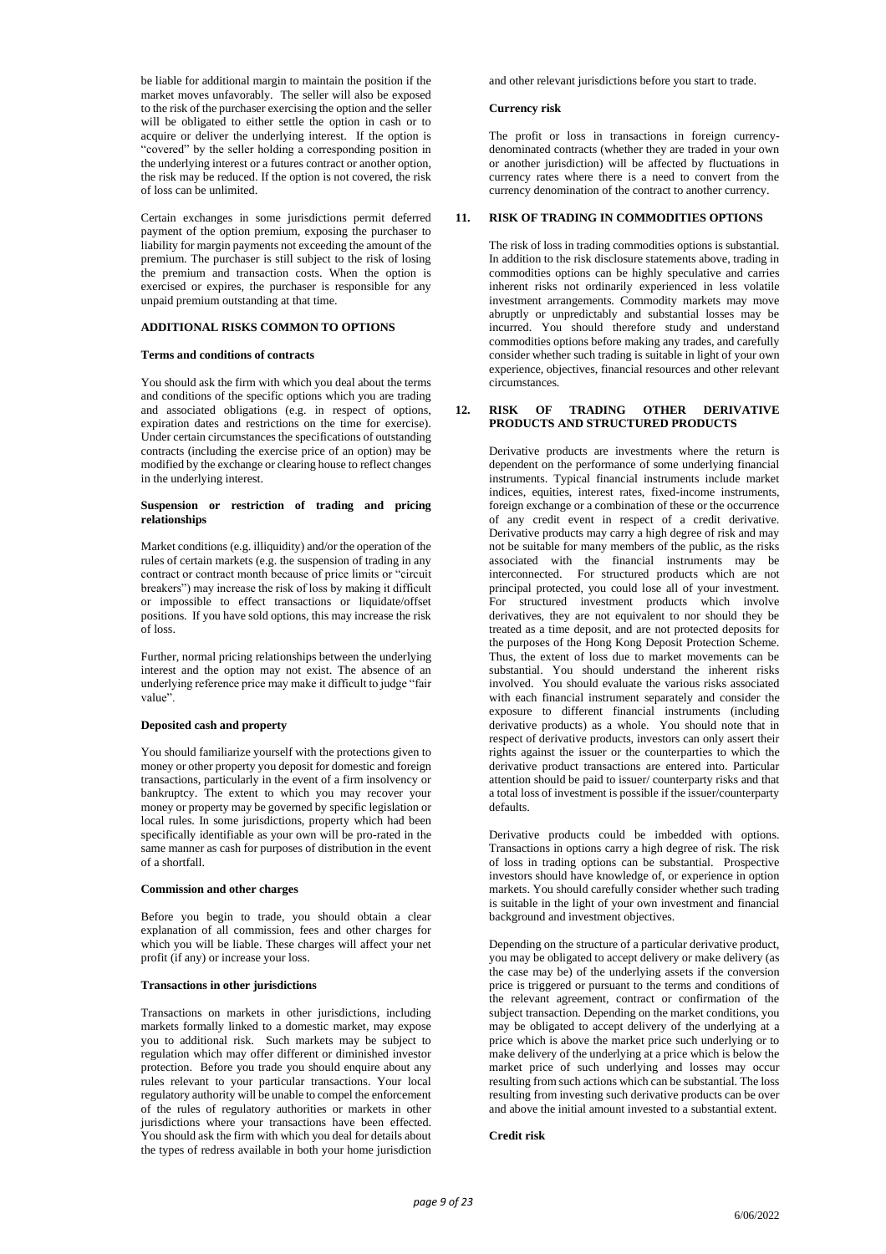be liable for additional margin to maintain the position if the market moves unfavorably. The seller will also be exposed to the risk of the purchaser exercising the option and the seller will be obligated to either settle the option in cash or to acquire or deliver the underlying interest. If the option is "covered" by the seller holding a corresponding position in the underlying interest or a futures contract or another option, the risk may be reduced. If the option is not covered, the risk of loss can be unlimited.

Certain exchanges in some jurisdictions permit deferred payment of the option premium, exposing the purchaser to liability for margin payments not exceeding the amount of the premium. The purchaser is still subject to the risk of losing the premium and transaction costs. When the option is exercised or expires, the purchaser is responsible for any unpaid premium outstanding at that time.

# **ADDITIONAL RISKS COMMON TO OPTIONS**

# **Terms and conditions of contracts**

You should ask the firm with which you deal about the terms and conditions of the specific options which you are trading and associated obligations (e.g. in respect of options, expiration dates and restrictions on the time for exercise). Under certain circumstances the specifications of outstanding contracts (including the exercise price of an option) may be modified by the exchange or clearing house to reflect changes in the underlying interest.

# **Suspension or restriction of trading and pricing relationships**

Market conditions (e.g. illiquidity) and/or the operation of the rules of certain markets (e.g. the suspension of trading in any contract or contract month because of price limits or "circuit breakers") may increase the risk of loss by making it difficult or impossible to effect transactions or liquidate/offset positions. If you have sold options, this may increase the risk of loss.

Further, normal pricing relationships between the underlying interest and the option may not exist. The absence of an underlying reference price may make it difficult to judge "fair value".

# **Deposited cash and property**

You should familiarize yourself with the protections given to money or other property you deposit for domestic and foreign transactions, particularly in the event of a firm insolvency or bankruptcy. The extent to which you may recover your money or property may be governed by specific legislation or local rules. In some jurisdictions, property which had been specifically identifiable as your own will be pro-rated in the same manner as cash for purposes of distribution in the event of a shortfall.

# **Commission and other charges**

Before you begin to trade, you should obtain a clear explanation of all commission, fees and other charges for which you will be liable. These charges will affect your net profit (if any) or increase your loss.

#### **Transactions in other jurisdictions**

Transactions on markets in other jurisdictions, including markets formally linked to a domestic market, may expose you to additional risk. Such markets may be subject to regulation which may offer different or diminished investor protection. Before you trade you should enquire about any rules relevant to your particular transactions. Your local regulatory authority will be unable to compel the enforcement of the rules of regulatory authorities or markets in other jurisdictions where your transactions have been effected. You should ask the firm with which you deal for details about the types of redress available in both your home jurisdiction and other relevant jurisdictions before you start to trade.

# **Currency risk**

The profit or loss in transactions in foreign currencydenominated contracts (whether they are traded in your own or another jurisdiction) will be affected by fluctuations in currency rates where there is a need to convert from the currency denomination of the contract to another currency.

# **11. RISK OF TRADING IN COMMODITIES OPTIONS**

The risk of loss in trading commodities options is substantial. In addition to the risk disclosure statements above, trading in commodities options can be highly speculative and carries inherent risks not ordinarily experienced in less volatile investment arrangements. Commodity markets may move abruptly or unpredictably and substantial losses may be incurred. You should therefore study and understand commodities options before making any trades, and carefully consider whether such trading is suitable in light of your own experience, objectives, financial resources and other relevant circumstances.

# **12. RISK OF TRADING OTHER DERIVATIVE PRODUCTS AND STRUCTURED PRODUCTS**

Derivative products are investments where the return is dependent on the performance of some underlying financial instruments. Typical financial instruments include market indices, equities, interest rates, fixed-income instruments, foreign exchange or a combination of these or the occurrence of any credit event in respect of a credit derivative. Derivative products may carry a high degree of risk and may not be suitable for many members of the public, as the risks associated with the financial instruments may be interconnected. For structured products which are not principal protected, you could lose all of your investment. For structured investment products which involve derivatives, they are not equivalent to nor should they be treated as a time deposit, and are not protected deposits for the purposes of the Hong Kong Deposit Protection Scheme. Thus, the extent of loss due to market movements can be substantial. You should understand the inherent risks involved. You should evaluate the various risks associated with each financial instrument separately and consider the exposure to different financial instruments (including derivative products) as a whole. You should note that in respect of derivative products, investors can only assert their rights against the issuer or the counterparties to which the derivative product transactions are entered into. Particular attention should be paid to issuer/ counterparty risks and that a total loss of investment is possible if the issuer/counterparty defaults.

Derivative products could be imbedded with options. Transactions in options carry a high degree of risk. The risk of loss in trading options can be substantial. Prospective investors should have knowledge of, or experience in option markets. You should carefully consider whether such trading is suitable in the light of your own investment and financial background and investment objectives.

Depending on the structure of a particular derivative product, you may be obligated to accept delivery or make delivery (as the case may be) of the underlying assets if the conversion price is triggered or pursuant to the terms and conditions of the relevant agreement, contract or confirmation of the subject transaction. Depending on the market conditions, you may be obligated to accept delivery of the underlying at a price which is above the market price such underlying or to make delivery of the underlying at a price which is below the market price of such underlying and losses may occur resulting from such actions which can be substantial. The loss resulting from investing such derivative products can be over and above the initial amount invested to a substantial extent.

#### **Credit risk**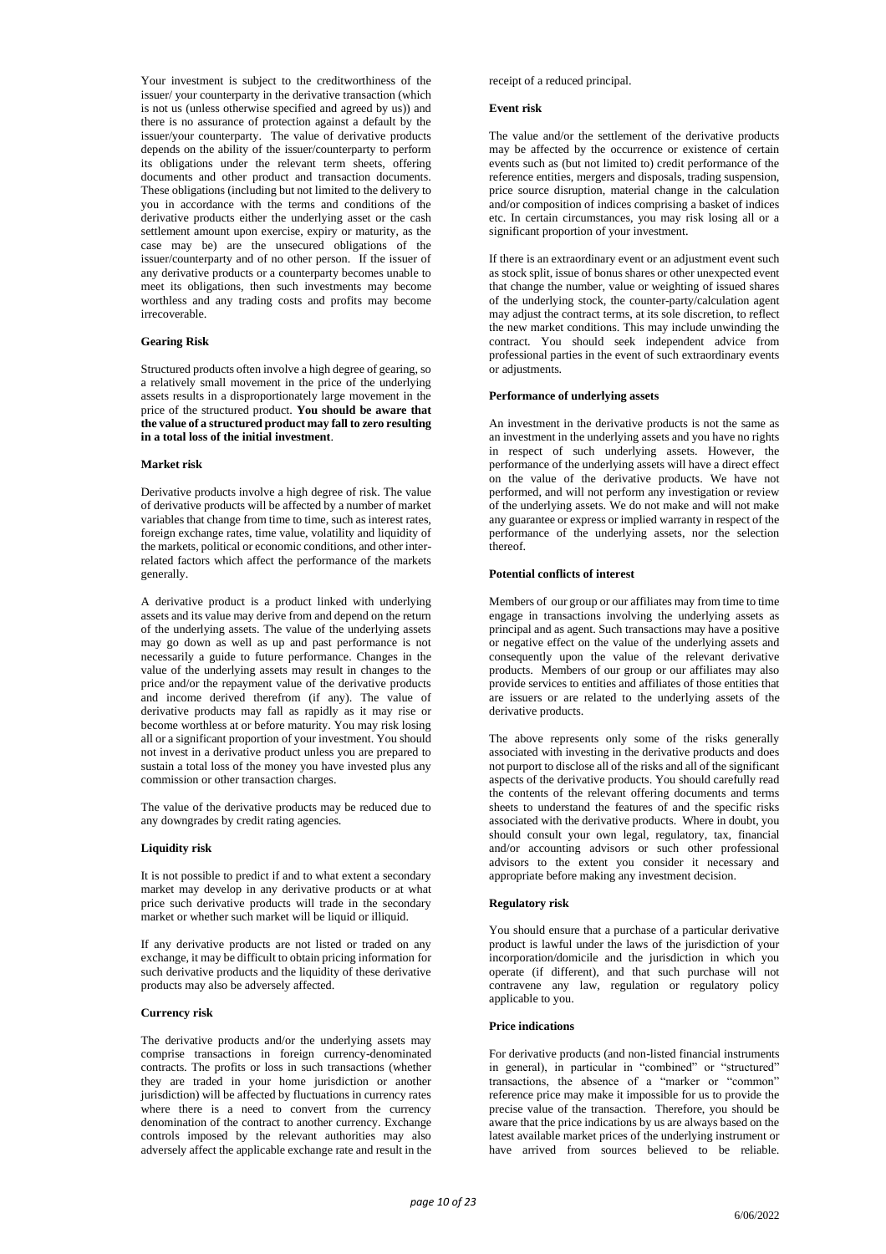Your investment is subject to the creditworthiness of the issuer/ your counterparty in the derivative transaction (which is not us (unless otherwise specified and agreed by us)) and there is no assurance of protection against a default by the issuer/your counterparty. The value of derivative products depends on the ability of the issuer/counterparty to perform its obligations under the relevant term sheets, offering documents and other product and transaction documents. These obligations (including but not limited to the delivery to you in accordance with the terms and conditions of the derivative products either the underlying asset or the cash settlement amount upon exercise, expiry or maturity, as the case may be) are the unsecured obligations of the issuer/counterparty and of no other person. If the issuer of any derivative products or a counterparty becomes unable to meet its obligations, then such investments may become worthless and any trading costs and profits may become irrecoverable.

# **Gearing Risk**

Structured products often involve a high degree of gearing, so a relatively small movement in the price of the underlying assets results in a disproportionately large movement in the price of the structured product. **You should be aware that the value of a structured product may fall to zero resulting in a total loss of the initial investment**.

# **Market risk**

Derivative products involve a high degree of risk. The value of derivative products will be affected by a number of market variables that change from time to time, such as interest rates, foreign exchange rates, time value, volatility and liquidity of the markets, political or economic conditions, and other interrelated factors which affect the performance of the markets generally.

A derivative product is a product linked with underlying assets and its value may derive from and depend on the return of the underlying assets. The value of the underlying assets may go down as well as up and past performance is not necessarily a guide to future performance. Changes in the value of the underlying assets may result in changes to the price and/or the repayment value of the derivative products and income derived therefrom (if any). The value of derivative products may fall as rapidly as it may rise or become worthless at or before maturity. You may risk losing all or a significant proportion of your investment. You should not invest in a derivative product unless you are prepared to sustain a total loss of the money you have invested plus any commission or other transaction charges.

The value of the derivative products may be reduced due to any downgrades by credit rating agencies.

### **Liquidity risk**

It is not possible to predict if and to what extent a secondary market may develop in any derivative products or at what price such derivative products will trade in the secondary market or whether such market will be liquid or illiquid.

If any derivative products are not listed or traded on any exchange, it may be difficult to obtain pricing information for such derivative products and the liquidity of these derivative products may also be adversely affected.

# **Currency risk**

The derivative products and/or the underlying assets may comprise transactions in foreign currency-denominated contracts. The profits or loss in such transactions (whether they are traded in your home jurisdiction or another jurisdiction) will be affected by fluctuations in currency rates where there is a need to convert from the currency denomination of the contract to another currency. Exchange controls imposed by the relevant authorities may also adversely affect the applicable exchange rate and result in the receipt of a reduced principal.

#### **Event risk**

The value and/or the settlement of the derivative products may be affected by the occurrence or existence of certain events such as (but not limited to) credit performance of the reference entities, mergers and disposals, trading suspension, price source disruption, material change in the calculation and/or composition of indices comprising a basket of indices etc. In certain circumstances, you may risk losing all or a significant proportion of your investment.

If there is an extraordinary event or an adjustment event such as stock split, issue of bonus shares or other unexpected event that change the number, value or weighting of issued shares of the underlying stock, the counter-party/calculation agent may adjust the contract terms, at its sole discretion, to reflect the new market conditions. This may include unwinding the contract. You should seek independent advice from professional parties in the event of such extraordinary events or adjustments.

# **Performance of underlying assets**

An investment in the derivative products is not the same as an investment in the underlying assets and you have no rights in respect of such underlying assets. However, the performance of the underlying assets will have a direct effect on the value of the derivative products. We have not performed, and will not perform any investigation or review of the underlying assets. We do not make and will not make any guarantee or express or implied warranty in respect of the performance of the underlying assets, nor the selection thereof.

#### **Potential conflicts of interest**

Members of our group or our affiliates may from time to time engage in transactions involving the underlying assets as principal and as agent. Such transactions may have a positive or negative effect on the value of the underlying assets and consequently upon the value of the relevant derivative products. Members of our group or our affiliates may also provide services to entities and affiliates of those entities that are issuers or are related to the underlying assets of the derivative products.

The above represents only some of the risks generally associated with investing in the derivative products and does not purport to disclose all of the risks and all of the significant aspects of the derivative products. You should carefully read the contents of the relevant offering documents and terms sheets to understand the features of and the specific risks associated with the derivative products. Where in doubt, you should consult your own legal, regulatory, tax, financial and/or accounting advisors or such other professional advisors to the extent you consider it necessary and appropriate before making any investment decision.

### **Regulatory risk**

You should ensure that a purchase of a particular derivative product is lawful under the laws of the jurisdiction of your incorporation/domicile and the jurisdiction in which you operate (if different), and that such purchase will not contravene any law, regulation or regulatory policy applicable to you.

#### **Price indications**

For derivative products (and non-listed financial instruments in general), in particular in "combined" or "structured" transactions, the absence of a "marker or "common" reference price may make it impossible for us to provide the precise value of the transaction. Therefore, you should be aware that the price indications by us are always based on the latest available market prices of the underlying instrument or have arrived from sources believed to be reliable.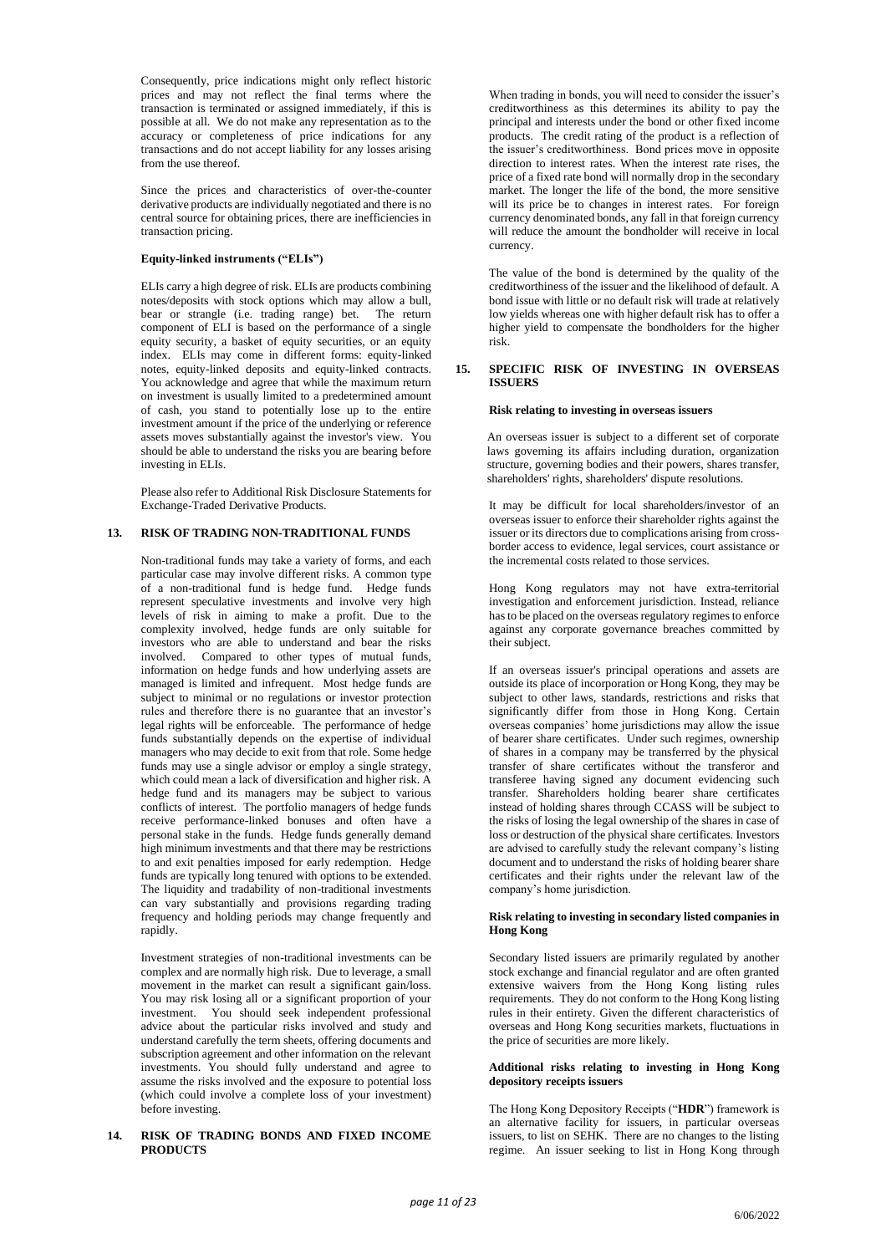Consequently, price indications might only reflect historic prices and may not reflect the final terms where the transaction is terminated or assigned immediately, if this is possible at all. We do not make any representation as to the accuracy or completeness of price indications for any transactions and do not accept liability for any losses arising from the use thereof.

Since the prices and characteristics of over-the-counter derivative products are individually negotiated and there is no central source for obtaining prices, there are inefficiencies in transaction pricing.

# **Equity-linked instruments ("ELIs")**

ELIs carry a high degree of risk. ELIs are products combining notes/deposits with stock options which may allow a bull, bear or strangle (i.e. trading range) bet. The return component of ELI is based on the performance of a single equity security, a basket of equity securities, or an equity index. ELIs may come in different forms: equity-linked notes, equity-linked deposits and equity-linked contracts. You acknowledge and agree that while the maximum return on investment is usually limited to a predetermined amount of cash, you stand to potentially lose up to the entire investment amount if the price of the underlying or reference assets moves substantially against the investor's view. You should be able to understand the risks you are bearing before investing in ELIs.

Please also refer to Additional Risk Disclosure Statements for Exchange-Traded Derivative Products.

# **13. RISK OF TRADING NON-TRADITIONAL FUNDS**

Non-traditional funds may take a variety of forms, and each particular case may involve different risks. A common type of a non-traditional fund is hedge fund. Hedge funds represent speculative investments and involve very high levels of risk in aiming to make a profit. Due to the complexity involved, hedge funds are only suitable for investors who are able to understand and bear the risks involved. Compared to other types of mutual funds, information on hedge funds and how underlying assets are managed is limited and infrequent. Most hedge funds are subject to minimal or no regulations or investor protection rules and therefore there is no guarantee that an investor's legal rights will be enforceable. The performance of hedge funds substantially depends on the expertise of individual managers who may decide to exit from that role. Some hedge funds may use a single advisor or employ a single strategy, which could mean a lack of diversification and higher risk. A hedge fund and its managers may be subject to various conflicts of interest. The portfolio managers of hedge funds receive performance-linked bonuses and often have a personal stake in the funds. Hedge funds generally demand high minimum investments and that there may be restrictions to and exit penalties imposed for early redemption. Hedge funds are typically long tenured with options to be extended. The liquidity and tradability of non-traditional investments can vary substantially and provisions regarding trading frequency and holding periods may change frequently and rapidly.

Investment strategies of non-traditional investments can be complex and are normally high risk. Due to leverage, a small movement in the market can result a significant gain/loss. You may risk losing all or a significant proportion of your investment. You should seek independent professional advice about the particular risks involved and study and understand carefully the term sheets, offering documents and subscription agreement and other information on the relevant investments. You should fully understand and agree to assume the risks involved and the exposure to potential loss (which could involve a complete loss of your investment) before investing.

# **14. RISK OF TRADING BONDS AND FIXED INCOME PRODUCTS**

When trading in bonds, you will need to consider the issuer's creditworthiness as this determines its ability to pay the principal and interests under the bond or other fixed income products. The credit rating of the product is a reflection of the issuer's creditworthiness. Bond prices move in opposite direction to interest rates. When the interest rate rises, the price of a fixed rate bond will normally drop in the secondary market. The longer the life of the bond, the more sensitive will its price be to changes in interest rates. For foreign currency denominated bonds, any fall in that foreign currency will reduce the amount the bondholder will receive in local currency.

The value of the bond is determined by the quality of the creditworthiness of the issuer and the likelihood of default. A bond issue with little or no default risk will trade at relatively low yields whereas one with higher default risk has to offer a higher yield to compensate the bondholders for the higher risk.

# **15. SPECIFIC RISK OF INVESTING IN OVERSEAS ISSUERS**

# **Risk relating to investing in overseas issuers**

An overseas issuer is subject to a different set of corporate laws governing its affairs including duration, organization structure, governing bodies and their powers, shares transfer, shareholders' rights, shareholders' dispute resolutions.

It may be difficult for local shareholders/investor of an overseas issuer to enforce their shareholder rights against the issuer or its directors due to complications arising from crossborder access to evidence, legal services, court assistance or the incremental costs related to those services.

Hong Kong regulators may not have extra-territorial investigation and enforcement jurisdiction. Instead, reliance has to be placed on the overseas regulatory regimes to enforce against any corporate governance breaches committed by their subject.

If an overseas issuer's principal operations and assets are outside its place of incorporation or Hong Kong, they may be subject to other laws, standards, restrictions and risks that significantly differ from those in Hong Kong. Certain overseas companies' home jurisdictions may allow the issue of bearer share certificates. Under such regimes, ownership of shares in a company may be transferred by the physical transfer of share certificates without the transferor and transferee having signed any document evidencing such transfer. Shareholders holding bearer share certificates instead of holding shares through CCASS will be subject to the risks of losing the legal ownership of the shares in case of loss or destruction of the physical share certificates. Investors are advised to carefully study the relevant company's listing document and to understand the risks of holding bearer share certificates and their rights under the relevant law of the company's home jurisdiction.

#### **Risk relating to investing in secondary listed companies in Hong Kong**

Secondary listed issuers are primarily regulated by another stock exchange and financial regulator and are often granted extensive waivers from the Hong Kong listing rules requirements. They do not conform to the Hong Kong listing rules in their entirety. Given the different characteristics of overseas and Hong Kong securities markets, fluctuations in the price of securities are more likely.

#### **Additional risks relating to investing in Hong Kong depository receipts issuers**

The Hong Kong Depository Receipts ("**HDR**") framework is an alternative facility for issuers, in particular overseas issuers, to list on SEHK. There are no changes to the listing regime. An issuer seeking to list in Hong Kong through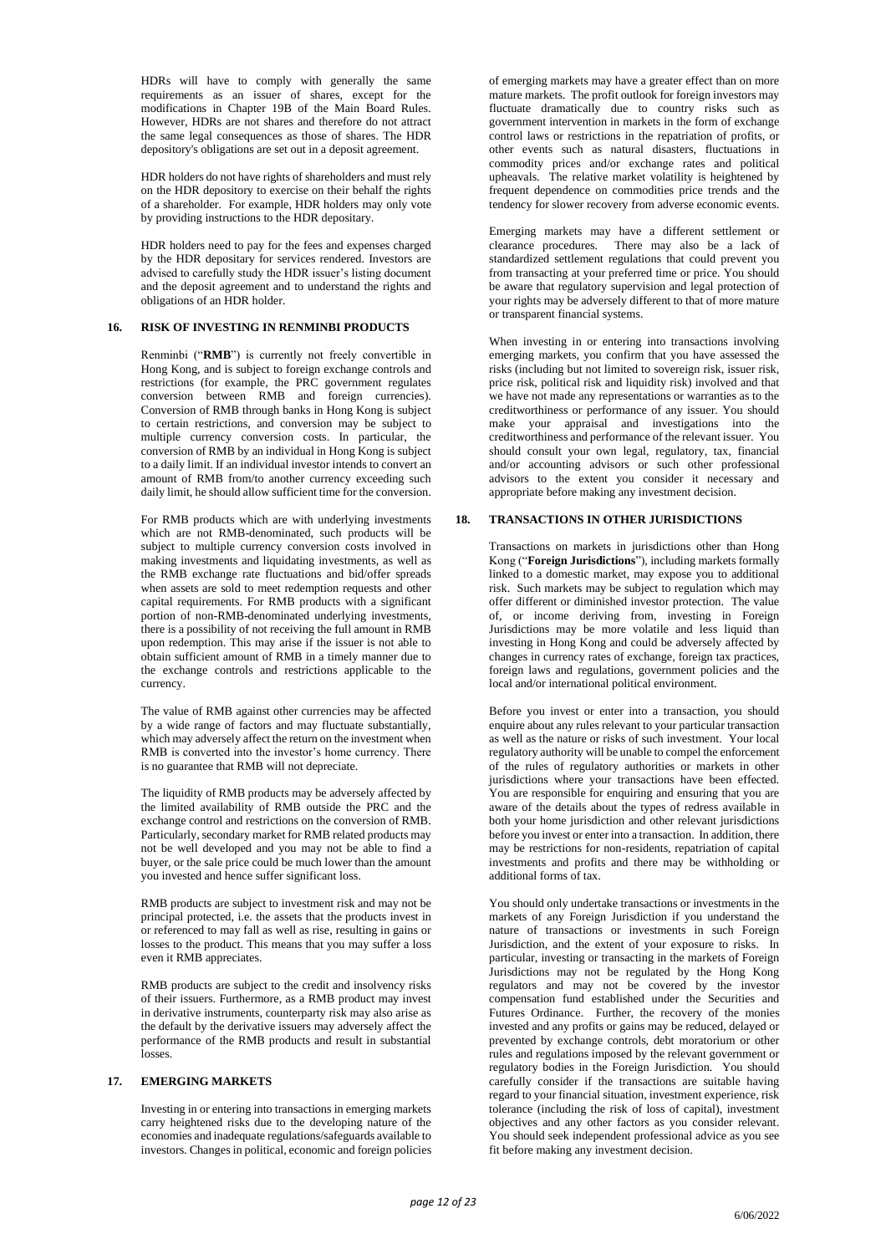HDRs will have to comply with generally the same requirements as an issuer of shares, except for the modifications in Chapter 19B of the Main Board Rules. However, HDRs are not shares and therefore do not attract the same legal consequences as those of shares. The HDR depository's obligations are set out in a deposit agreement.

HDR holders do not have rights of shareholders and must rely on the HDR depository to exercise on their behalf the rights of a shareholder. For example, HDR holders may only vote by providing instructions to the HDR depositary.

HDR holders need to pay for the fees and expenses charged by the HDR depositary for services rendered. Investors are advised to carefully study the HDR issuer's listing document and the deposit agreement and to understand the rights and obligations of an HDR holder.

# **16. RISK OF INVESTING IN RENMINBI PRODUCTS**

Renminbi ("**RMB**") is currently not freely convertible in Hong Kong, and is subject to foreign exchange controls and restrictions (for example, the PRC government regulates conversion between RMB and foreign currencies). Conversion of RMB through banks in Hong Kong is subject to certain restrictions, and conversion may be subject to multiple currency conversion costs. In particular, the conversion of RMB by an individual in Hong Kong is subject to a daily limit. If an individual investor intends to convert an amount of RMB from/to another currency exceeding such daily limit, he should allow sufficient time for the conversion.

For RMB products which are with underlying investments which are not RMB-denominated, such products will be subject to multiple currency conversion costs involved in making investments and liquidating investments, as well as the RMB exchange rate fluctuations and bid/offer spreads when assets are sold to meet redemption requests and other capital requirements. For RMB products with a significant portion of non-RMB-denominated underlying investments, there is a possibility of not receiving the full amount in RMB upon redemption. This may arise if the issuer is not able to obtain sufficient amount of RMB in a timely manner due to the exchange controls and restrictions applicable to the currency.

The value of RMB against other currencies may be affected by a wide range of factors and may fluctuate substantially, which may adversely affect the return on the investment when RMB is converted into the investor's home currency. There is no guarantee that RMB will not depreciate.

The liquidity of RMB products may be adversely affected by the limited availability of RMB outside the PRC and the exchange control and restrictions on the conversion of RMB. Particularly, secondary market for RMB related products may not be well developed and you may not be able to find a buyer, or the sale price could be much lower than the amount you invested and hence suffer significant loss.

RMB products are subject to investment risk and may not be principal protected, i.e. the assets that the products invest in or referenced to may fall as well as rise, resulting in gains or losses to the product. This means that you may suffer a loss even it RMB appreciates.

RMB products are subject to the credit and insolvency risks of their issuers. Furthermore, as a RMB product may invest in derivative instruments, counterparty risk may also arise as the default by the derivative issuers may adversely affect the performance of the RMB products and result in substantial losses.

# **17. EMERGING MARKETS**

Investing in or entering into transactions in emerging markets carry heightened risks due to the developing nature of the economies and inadequate regulations/safeguards available to investors. Changes in political, economic and foreign policies

of emerging markets may have a greater effect than on more mature markets. The profit outlook for foreign investors may fluctuate dramatically due to country risks such as government intervention in markets in the form of exchange control laws or restrictions in the repatriation of profits, or other events such as natural disasters, fluctuations in commodity prices and/or exchange rates and political upheavals. The relative market volatility is heightened by frequent dependence on commodities price trends and the tendency for slower recovery from adverse economic events.

Emerging markets may have a different settlement or clearance procedures. There may also be a lack of standardized settlement regulations that could prevent you from transacting at your preferred time or price. You should be aware that regulatory supervision and legal protection of your rights may be adversely different to that of more mature or transparent financial systems.

When investing in or entering into transactions involving emerging markets, you confirm that you have assessed the risks (including but not limited to sovereign risk, issuer risk, price risk, political risk and liquidity risk) involved and that we have not made any representations or warranties as to the creditworthiness or performance of any issuer. You should make your appraisal and investigations into the creditworthiness and performance of the relevant issuer. You should consult your own legal, regulatory, tax, financial and/or accounting advisors or such other professional advisors to the extent you consider it necessary and appropriate before making any investment decision.

# **18. TRANSACTIONS IN OTHER JURISDICTIONS**

Transactions on markets in jurisdictions other than Hong Kong ("**Foreign Jurisdictions**")*,* including markets formally linked to a domestic market, may expose you to additional risk. Such markets may be subject to regulation which may offer different or diminished investor protection. The value of, or income deriving from, investing in Foreign Jurisdictions may be more volatile and less liquid than investing in Hong Kong and could be adversely affected by changes in currency rates of exchange, foreign tax practices, foreign laws and regulations, government policies and the local and/or international political environment.

Before you invest or enter into a transaction, you should enquire about any rules relevant to your particular transaction as well as the nature or risks of such investment. Your local regulatory authority will be unable to compel the enforcement of the rules of regulatory authorities or markets in other jurisdictions where your transactions have been effected. You are responsible for enquiring and ensuring that you are aware of the details about the types of redress available in both your home jurisdiction and other relevant jurisdictions before you invest or enter into a transaction. In addition, there may be restrictions for non-residents, repatriation of capital investments and profits and there may be withholding or additional forms of tax.

You should only undertake transactions or investments in the markets of any Foreign Jurisdiction if you understand the nature of transactions or investments in such Foreign Jurisdiction, and the extent of your exposure to risks. In particular, investing or transacting in the markets of Foreign Jurisdictions may not be regulated by the Hong Kong regulators and may not be covered by the investor compensation fund established under the Securities and Futures Ordinance. Further, the recovery of the monies invested and any profits or gains may be reduced, delayed or prevented by exchange controls, debt moratorium or other rules and regulations imposed by the relevant government or regulatory bodies in the Foreign Jurisdiction. You should carefully consider if the transactions are suitable having regard to your financial situation, investment experience, risk tolerance (including the risk of loss of capital), investment objectives and any other factors as you consider relevant. You should seek independent professional advice as you see fit before making any investment decision.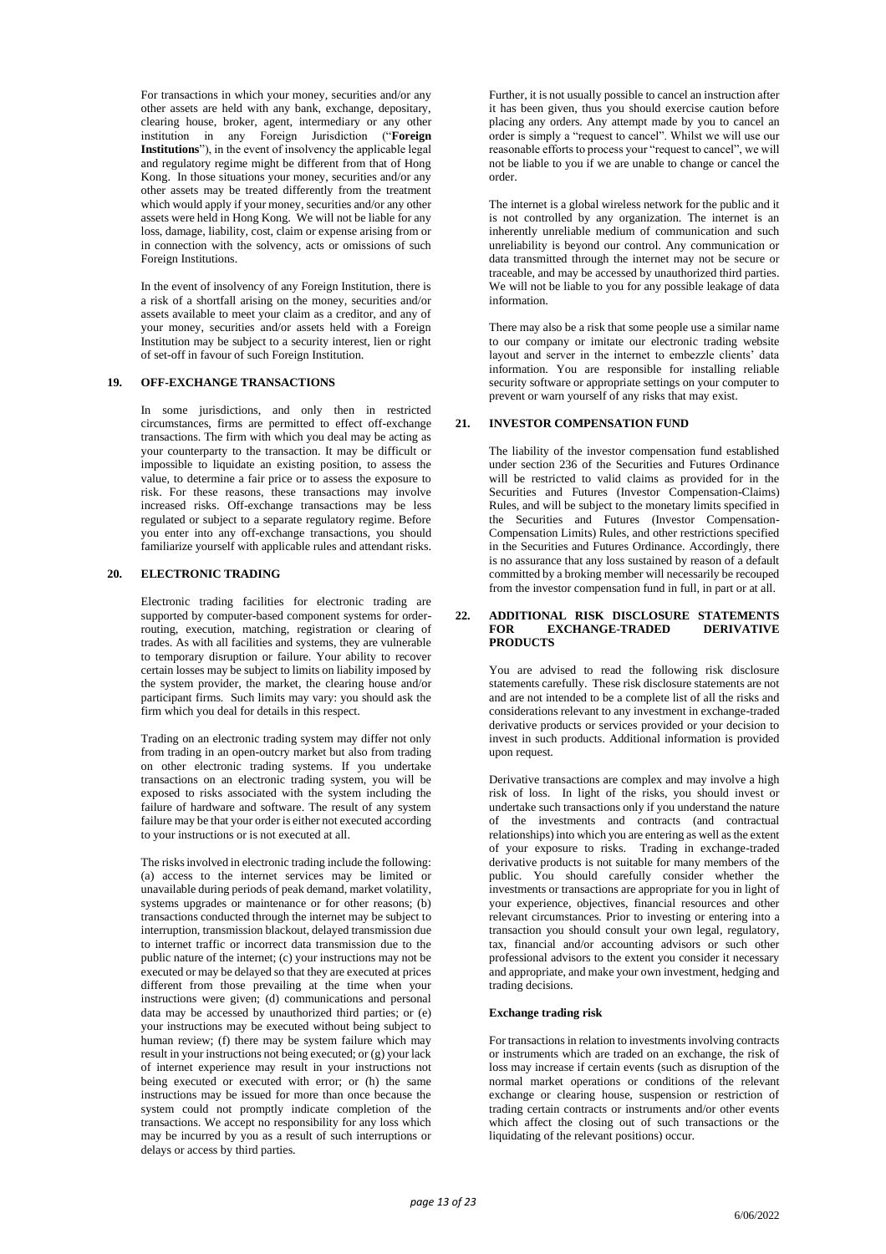For transactions in which your money, securities and/or any other assets are held with any bank, exchange, depositary, clearing house, broker, agent, intermediary or any other institution in any Foreign Jurisdiction ("**Foreign Institutions**"), in the event of insolvency the applicable legal and regulatory regime might be different from that of Hong Kong. In those situations your money, securities and/or any other assets may be treated differently from the treatment which would apply if your money, securities and/or any other assets were held in Hong Kong. We will not be liable for any loss, damage, liability, cost, claim or expense arising from or in connection with the solvency, acts or omissions of such Foreign Institutions.

In the event of insolvency of any Foreign Institution, there is a risk of a shortfall arising on the money, securities and/or assets available to meet your claim as a creditor, and any of your money, securities and/or assets held with a Foreign Institution may be subject to a security interest, lien or right of set-off in favour of such Foreign Institution.

# **19. OFF-EXCHANGE TRANSACTIONS**

In some jurisdictions, and only then in restricted circumstances, firms are permitted to effect off-exchange transactions. The firm with which you deal may be acting as your counterparty to the transaction. It may be difficult or impossible to liquidate an existing position, to assess the value, to determine a fair price or to assess the exposure to risk. For these reasons, these transactions may involve increased risks. Off-exchange transactions may be less regulated or subject to a separate regulatory regime. Before you enter into any off-exchange transactions, you should familiarize yourself with applicable rules and attendant risks.

# **20. ELECTRONIC TRADING**

Electronic trading facilities for electronic trading are supported by computer-based component systems for orderrouting, execution, matching, registration or clearing of trades. As with all facilities and systems, they are vulnerable to temporary disruption or failure. Your ability to recover certain losses may be subject to limits on liability imposed by the system provider, the market, the clearing house and/or participant firms. Such limits may vary: you should ask the firm which you deal for details in this respect.

Trading on an electronic trading system may differ not only from trading in an open-outcry market but also from trading on other electronic trading systems. If you undertake transactions on an electronic trading system, you will be exposed to risks associated with the system including the failure of hardware and software. The result of any system failure may be that your order is either not executed according to your instructions or is not executed at all.

The risks involved in electronic trading include the following: (a) access to the internet services may be limited or unavailable during periods of peak demand, market volatility, systems upgrades or maintenance or for other reasons; (b) transactions conducted through the internet may be subject to interruption, transmission blackout, delayed transmission due to internet traffic or incorrect data transmission due to the public nature of the internet; (c) your instructions may not be executed or may be delayed so that they are executed at prices different from those prevailing at the time when your instructions were given; (d) communications and personal data may be accessed by unauthorized third parties; or (e) your instructions may be executed without being subject to human review; (f) there may be system failure which may result in your instructions not being executed; or (g) your lack of internet experience may result in your instructions not being executed or executed with error; or (h) the same instructions may be issued for more than once because the system could not promptly indicate completion of the transactions. We accept no responsibility for any loss which may be incurred by you as a result of such interruptions or delays or access by third parties.

Further, it is not usually possible to cancel an instruction after it has been given, thus you should exercise caution before placing any orders. Any attempt made by you to cancel an order is simply a "request to cancel". Whilst we will use our reasonable efforts to process your "request to cancel", we will not be liable to you if we are unable to change or cancel the order.

The internet is a global wireless network for the public and it is not controlled by any organization. The internet is an inherently unreliable medium of communication and such unreliability is beyond our control. Any communication or data transmitted through the internet may not be secure or traceable, and may be accessed by unauthorized third parties. We will not be liable to you for any possible leakage of data information.

There may also be a risk that some people use a similar name to our company or imitate our electronic trading website layout and server in the internet to embezzle clients' data information. You are responsible for installing reliable security software or appropriate settings on your computer to prevent or warn yourself of any risks that may exist.

# **21. INVESTOR COMPENSATION FUND**

The liability of the investor compensation fund established under section 236 of the Securities and Futures Ordinance will be restricted to valid claims as provided for in the Securities and Futures (Investor Compensation-Claims) Rules, and will be subject to the monetary limits specified in the Securities and Futures (Investor Compensation-Compensation Limits) Rules, and other restrictions specified in the Securities and Futures Ordinance. Accordingly, there is no assurance that any loss sustained by reason of a default committed by a broking member will necessarily be recouped from the investor compensation fund in full, in part or at all.

# **22. ADDITIONAL RISK DISCLOSURE STATEMENTS EXCHANGE-TRADED PRODUCTS**

You are advised to read the following risk disclosure statements carefully. These risk disclosure statements are not and are not intended to be a complete list of all the risks and considerations relevant to any investment in exchange-traded derivative products or services provided or your decision to invest in such products. Additional information is provided upon request.

Derivative transactions are complex and may involve a high risk of loss. In light of the risks, you should invest or undertake such transactions only if you understand the nature of the investments and contracts (and contractual relationships) into which you are entering as well as the extent of your exposure to risks. Trading in exchange-traded derivative products is not suitable for many members of the public. You should carefully consider whether the investments or transactions are appropriate for you in light of your experience, objectives, financial resources and other relevant circumstances*.* Prior to investing or entering into a transaction you should consult your own legal, regulatory, tax, financial and/or accounting advisors or such other professional advisors to the extent you consider it necessary and appropriate, and make your own investment, hedging and trading decisions.

## **Exchange trading risk**

For transactions in relation to investments involving contracts or instruments which are traded on an exchange, the risk of loss may increase if certain events (such as disruption of the normal market operations or conditions of the relevant exchange or clearing house, suspension or restriction of trading certain contracts or instruments and/or other events which affect the closing out of such transactions or the liquidating of the relevant positions) occur.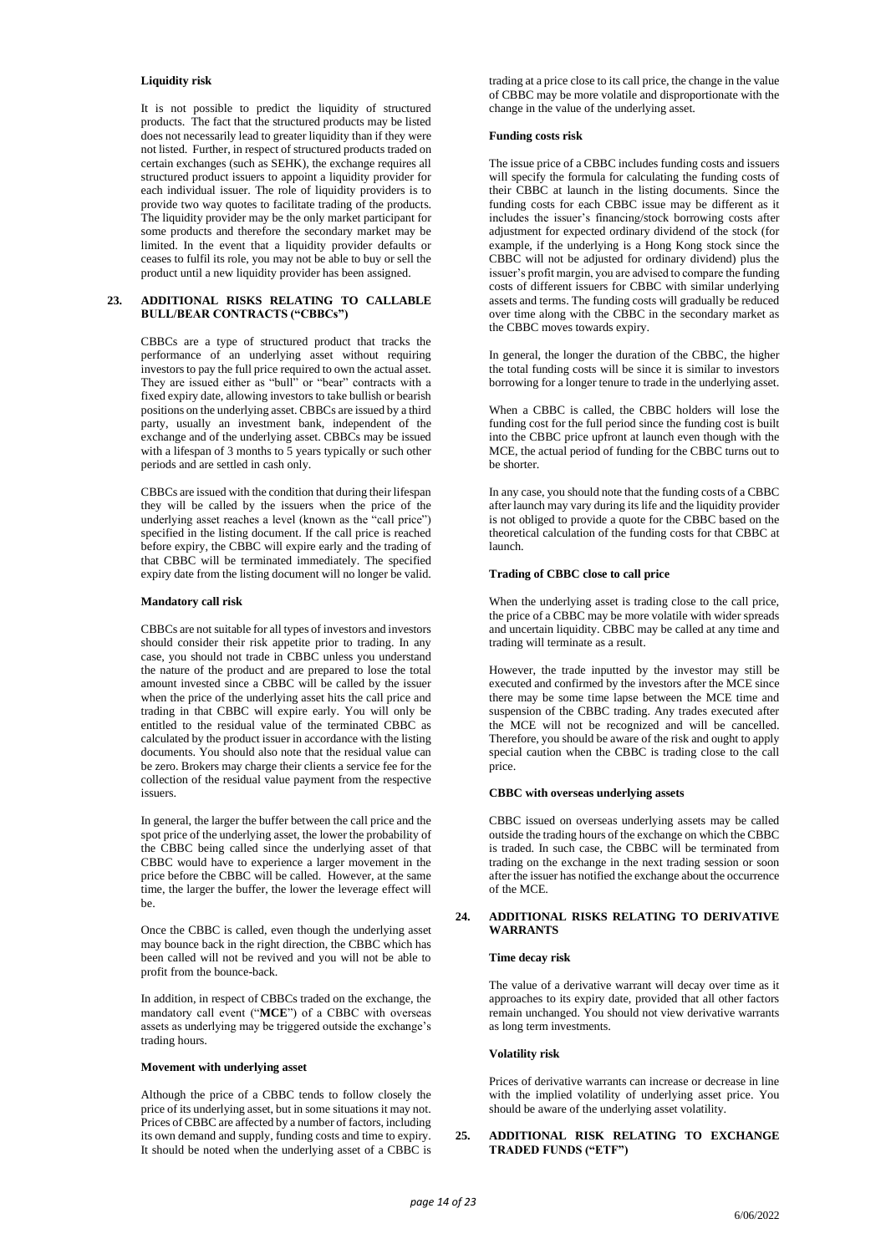#### **Liquidity risk**

It is not possible to predict the liquidity of structured products. The fact that the structured products may be listed does not necessarily lead to greater liquidity than if they were not listed. Further, in respect of structured products traded on certain exchanges (such as SEHK), the exchange requires all structured product issuers to appoint a liquidity provider for each individual issuer. The role of liquidity providers is to provide two way quotes to facilitate trading of the products. The liquidity provider may be the only market participant for some products and therefore the secondary market may be limited. In the event that a liquidity provider defaults or ceases to fulfil its role, you may not be able to buy or sell the product until a new liquidity provider has been assigned.

# **23. ADDITIONAL RISKS RELATING TO CALLABLE BULL/BEAR CONTRACTS ("CBBCs")**

CBBCs are a type of structured product that tracks the performance of an underlying asset without requiring investors to pay the full price required to own the actual asset. They are issued either as "bull" or "bear" contracts with a fixed expiry date, allowing investors to take bullish or bearish positions on the underlying asset. CBBCs are issued by a third party, usually an investment bank, independent of the exchange and of the underlying asset. CBBCs may be issued with a lifespan of 3 months to 5 years typically or such other periods and are settled in cash only.

CBBCs are issued with the condition that during their lifespan they will be called by the issuers when the price of the underlying asset reaches a level (known as the "call price") specified in the listing document. If the call price is reached before expiry, the CBBC will expire early and the trading of that CBBC will be terminated immediately. The specified expiry date from the listing document will no longer be valid.

#### **Mandatory call risk**

CBBCs are not suitable for all types of investors and investors should consider their risk appetite prior to trading. In any case, you should not trade in CBBC unless you understand the nature of the product and are prepared to lose the total amount invested since a CBBC will be called by the issuer when the price of the underlying asset hits the call price and trading in that CBBC will expire early. You will only be entitled to the residual value of the terminated CBBC as calculated by the product issuer in accordance with the listing documents. You should also note that the residual value can be zero. Brokers may charge their clients a service fee for the collection of the residual value payment from the respective issuers.

In general, the larger the buffer between the call price and the spot price of the underlying asset, the lower the probability of the CBBC being called since the underlying asset of that CBBC would have to experience a larger movement in the price before the CBBC will be called. However, at the same time, the larger the buffer, the lower the leverage effect will be.

Once the CBBC is called, even though the underlying asset may bounce back in the right direction, the CBBC which has been called will not be revived and you will not be able to profit from the bounce-back.

In addition, in respect of CBBCs traded on the exchange, the mandatory call event ("**MCE**") of a CBBC with overseas assets as underlying may be triggered outside the exchange's trading hours.

### **Movement with underlying asset**

Although the price of a CBBC tends to follow closely the price of its underlying asset, but in some situations it may not. Prices of CBBC are affected by a number of factors, including its own demand and supply, funding costs and time to expiry. It should be noted when the underlying asset of a CBBC is

trading at a price close to its call price, the change in the value of CBBC may be more volatile and disproportionate with the change in the value of the underlying asset.

#### **Funding costs risk**

The issue price of a CBBC includes funding costs and issuers will specify the formula for calculating the funding costs of their CBBC at launch in the listing documents. Since the funding costs for each CBBC issue may be different as it includes the issuer's financing/stock borrowing costs after adjustment for expected ordinary dividend of the stock (for example, if the underlying is a Hong Kong stock since the CBBC will not be adjusted for ordinary dividend) plus the issuer's profit margin, you are advised to compare the funding costs of different issuers for CBBC with similar underlying assets and terms. The funding costs will gradually be reduced over time along with the CBBC in the secondary market as the CBBC moves towards expiry.

In general, the longer the duration of the CBBC, the higher the total funding costs will be since it is similar to investors borrowing for a longer tenure to trade in the underlying asset.

When a CBBC is called, the CBBC holders will lose the funding cost for the full period since the funding cost is built into the CBBC price upfront at launch even though with the MCE, the actual period of funding for the CBBC turns out to be shorter.

In any case, you should note that the funding costs of a CBBC after launch may vary during its life and the liquidity provider is not obliged to provide a quote for the CBBC based on the theoretical calculation of the funding costs for that CBBC at launch.

#### **Trading of CBBC close to call price**

When the underlying asset is trading close to the call price, the price of a CBBC may be more volatile with wider spreads and uncertain liquidity. CBBC may be called at any time and trading will terminate as a result.

However, the trade inputted by the investor may still be executed and confirmed by the investors after the MCE since there may be some time lapse between the MCE time and suspension of the CBBC trading. Any trades executed after the MCE will not be recognized and will be cancelled. Therefore, you should be aware of the risk and ought to apply special caution when the CBBC is trading close to the call price.

#### **CBBC with overseas underlying assets**

CBBC issued on overseas underlying assets may be called outside the trading hours of the exchange on which the CBBC is traded. In such case, the CBBC will be terminated from trading on the exchange in the next trading session or soon after the issuer has notified the exchange about the occurrence of the MCE.

#### **24. ADDITIONAL RISKS RELATING TO DERIVATIVE WARRANTS**

# **Time decay risk**

The value of a derivative warrant will decay over time as it approaches to its expiry date, provided that all other factors remain unchanged. You should not view derivative warrants as long term investments.

#### **Volatility risk**

Prices of derivative warrants can increase or decrease in line with the implied volatility of underlying asset price. You should be aware of the underlying asset volatility.

#### **25. ADDITIONAL RISK RELATING TO EXCHANGE TRADED FUNDS ("ETF")**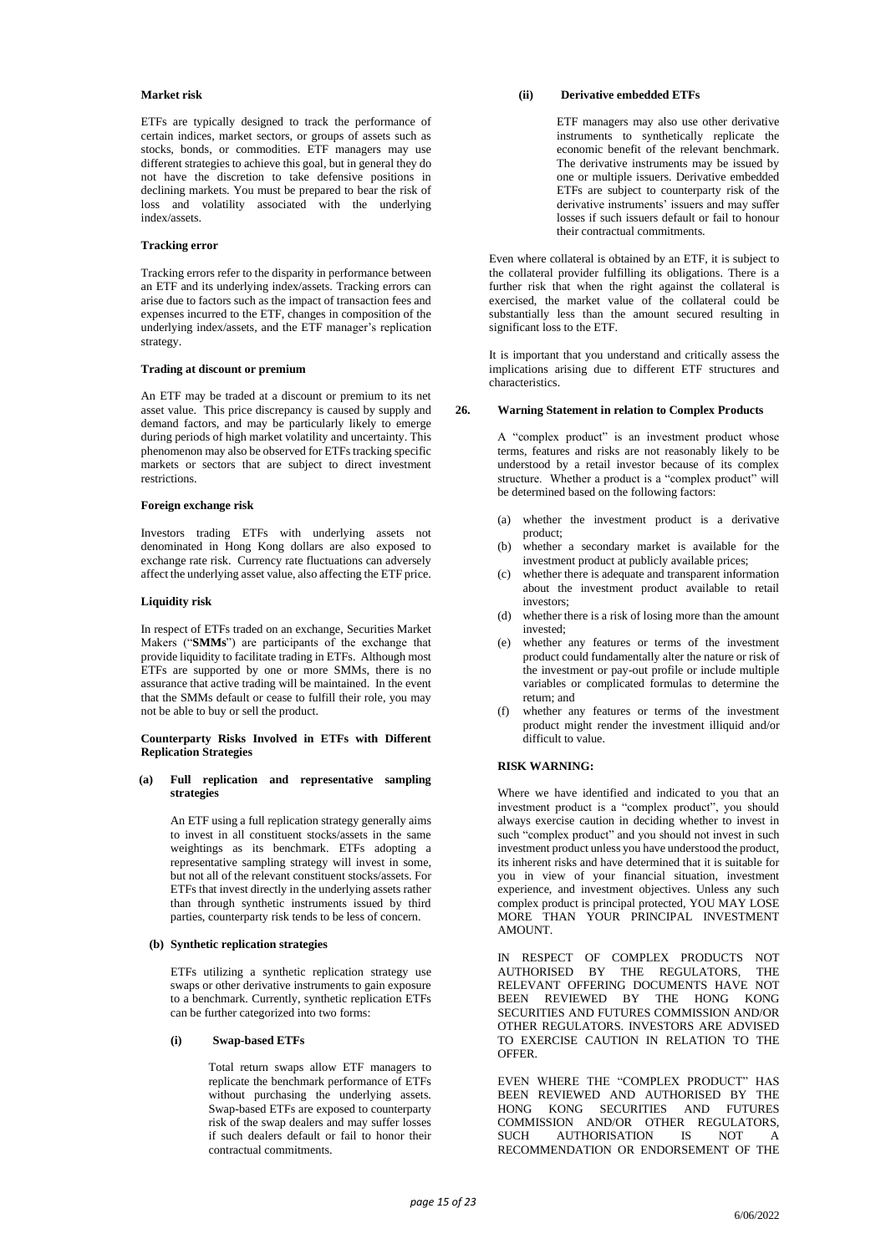# **Market risk**

ETFs are typically designed to track the performance of certain indices, market sectors, or groups of assets such as stocks, bonds, or commodities. ETF managers may use different strategies to achieve this goal, but in general they do not have the discretion to take defensive positions in declining markets. You must be prepared to bear the risk of loss and volatility associated with the underlying index/assets.

#### **Tracking error**

Tracking errors refer to the disparity in performance between an ETF and its underlying index/assets. Tracking errors can arise due to factors such as the impact of transaction fees and expenses incurred to the ETF, changes in composition of the underlying index/assets, and the ETF manager's replication strategy.

#### **Trading at discount or premium**

An ETF may be traded at a discount or premium to its net asset value. This price discrepancy is caused by supply and demand factors, and may be particularly likely to emerge during periods of high market volatility and uncertainty. This phenomenon may also be observed for ETFs tracking specific markets or sectors that are subject to direct investment restrictions.

### **Foreign exchange risk**

Investors trading ETFs with underlying assets not denominated in Hong Kong dollars are also exposed to exchange rate risk. Currency rate fluctuations can adversely affect the underlying asset value, also affecting the ETF price.

#### **Liquidity risk**

In respect of ETFs traded on an exchange, Securities Market Makers ("**SMMs**") are participants of the exchange that provide liquidity to facilitate trading in ETFs. Although most ETFs are supported by one or more SMMs, there is no assurance that active trading will be maintained. In the event that the SMMs default or cease to fulfill their role, you may not be able to buy or sell the product.

#### **Counterparty Risks Involved in ETFs with Different Replication Strategies**

#### **(a) Full replication and representative sampling strategies**

An ETF using a full replication strategy generally aims to invest in all constituent stocks/assets in the same weightings as its benchmark. ETFs adopting a representative sampling strategy will invest in some, but not all of the relevant constituent stocks/assets. For ETFs that invest directly in the underlying assets rather than through synthetic instruments issued by third parties, counterparty risk tends to be less of concern.

# **(b) Synthetic replication strategies**

ETFs utilizing a synthetic replication strategy use swaps or other derivative instruments to gain exposure to a benchmark. Currently, synthetic replication ETFs can be further categorized into two forms:

# **(i) Swap-based ETFs**

Total return swaps allow ETF managers to replicate the benchmark performance of ETFs without purchasing the underlying assets. Swap-based ETFs are exposed to counterparty risk of the swap dealers and may suffer losses if such dealers default or fail to honor their contractual commitments.

# **(ii) Derivative embedded ETFs**

ETF managers may also use other derivative instruments to synthetically replicate the economic benefit of the relevant benchmark. The derivative instruments may be issued by one or multiple issuers. Derivative embedded ETFs are subject to counterparty risk of the derivative instruments' issuers and may suffer losses if such issuers default or fail to honour their contractual commitments.

Even where collateral is obtained by an ETF, it is subject to the collateral provider fulfilling its obligations. There is a further risk that when the right against the collateral is exercised, the market value of the collateral could be substantially less than the amount secured resulting in significant loss to the ETF.

It is important that you understand and critically assess the implications arising due to different ETF structures and characteristics.

#### **26. Warning Statement in relation to Complex Products**

A "complex product" is an investment product whose terms, features and risks are not reasonably likely to be understood by a retail investor because of its complex structure. Whether a product is a "complex product" will be determined based on the following factors:

- (a) whether the investment product is a derivative product;
- (b) whether a secondary market is available for the investment product at publicly available prices;
- (c) whether there is adequate and transparent information about the investment product available to retail investors;
- (d) whether there is a risk of losing more than the amount invested;
- (e) whether any features or terms of the investment product could fundamentally alter the nature or risk of the investment or pay-out profile or include multiple variables or complicated formulas to determine the return; and
- (f) whether any features or terms of the investment product might render the investment illiquid and/or difficult to value.

### **RISK WARNING:**

Where we have identified and indicated to you that an investment product is a "complex product", you should always exercise caution in deciding whether to invest in such "complex product" and you should not invest in such investment product unless you have understood the product, its inherent risks and have determined that it is suitable for you in view of your financial situation, investment experience, and investment objectives. Unless any such complex product is principal protected, YOU MAY LOSE MORE THAN YOUR PRINCIPAL INVESTMENT AMOUNT.

IN RESPECT OF COMPLEX PRODUCTS NOT AUTHORISED BY THE REGULATORS, THE RELEVANT OFFERING DOCUMENTS HAVE NOT BEEN REVIEWED BY THE HONG KONG SECURITIES AND FUTURES COMMISSION AND/OR OTHER REGULATORS. INVESTORS ARE ADVISED TO EXERCISE CAUTION IN RELATION TO THE OFFER.

EVEN WHERE THE "COMPLEX PRODUCT" HAS BEEN REVIEWED AND AUTHORISED BY THE HONG KONG SECURITIES AND FUTURES COMMISSION AND/OR OTHER REGULATORS, SUCH AUTHORISATION IS NOT RECOMMENDATION OR ENDORSEMENT OF THE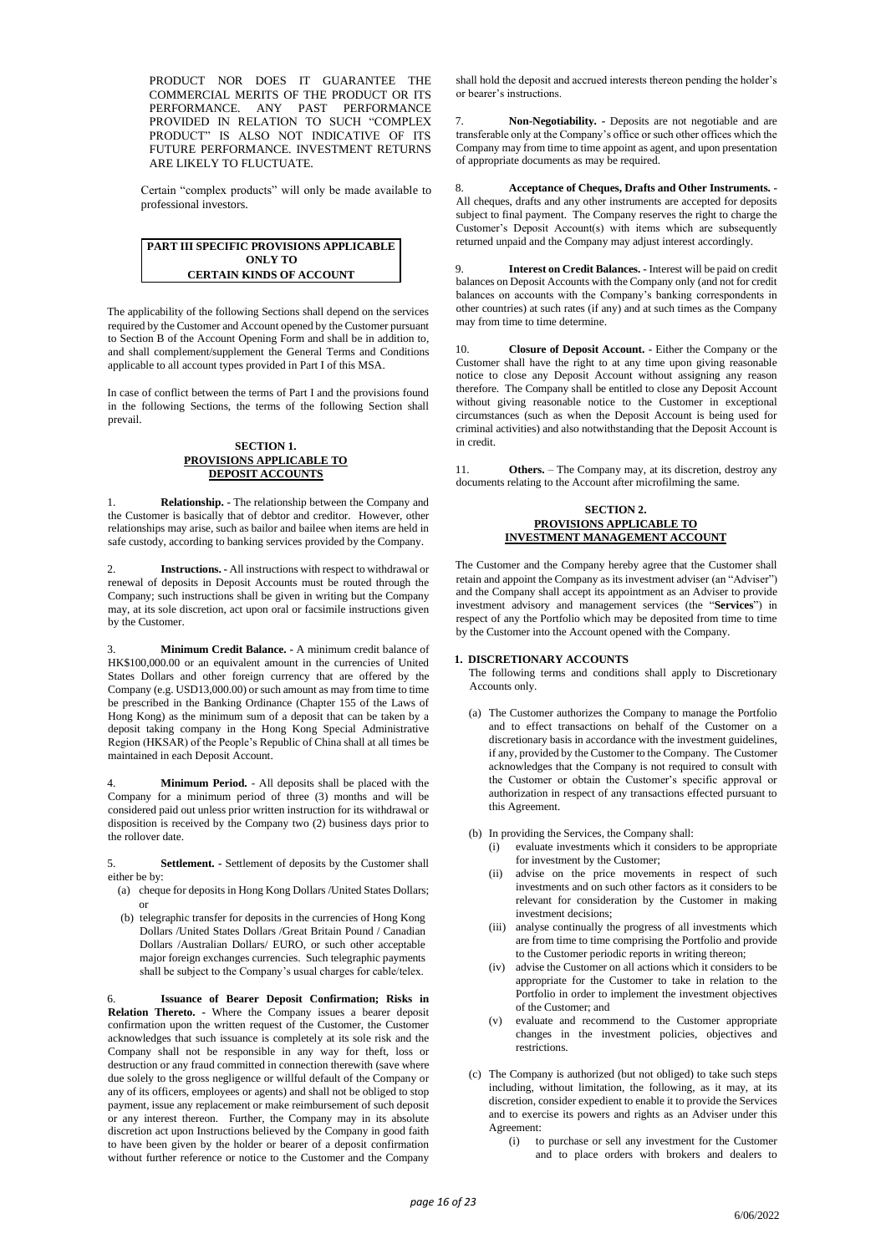PRODUCT NOR DOES IT GUARANTEE THE COMMERCIAL MERITS OF THE PRODUCT OR ITS PERFORMANCE. ANY PAST PERFORMANCE PROVIDED IN RELATION TO SUCH "COMPLEX PRODUCT" IS ALSO NOT INDICATIVE OF ITS FUTURE PERFORMANCE. INVESTMENT RETURNS ARE LIKELY TO FLUCTUATE.

Certain "complex products" will only be made available to professional investors.

| <b>PART III SPECIFIC PROVISIONS APPLICABLE</b> |
|------------------------------------------------|
| ONLY TO                                        |
| <b>CERTAIN KINDS OF ACCOUNT</b>                |

The applicability of the following Sections shall depend on the services required by the Customer and Account opened by the Customer pursuant to Section B of the Account Opening Form and shall be in addition to, and shall complement/supplement the General Terms and Conditions applicable to all account types provided in Part I of this MSA.

In case of conflict between the terms of Part I and the provisions found in the following Sections, the terms of the following Section shall prevail.

### **SECTION 1. PROVISIONS APPLICABLE TO DEPOSIT ACCOUNTS**

1. **Relationship. -** The relationship between the Company and the Customer is basically that of debtor and creditor. However, other relationships may arise, such as bailor and bailee when items are held in safe custody, according to banking services provided by the Company.

2. **Instructions. -** All instructions with respect to withdrawal or renewal of deposits in Deposit Accounts must be routed through the Company; such instructions shall be given in writing but the Company may, at its sole discretion, act upon oral or facsimile instructions given by the Customer.

3. **Minimum Credit Balance. -** A minimum credit balance of HK\$100,000.00 or an equivalent amount in the currencies of United States Dollars and other foreign currency that are offered by the Company (e.g. USD13,000.00) or such amount as may from time to time be prescribed in the Banking Ordinance (Chapter 155 of the Laws of Hong Kong) as the minimum sum of a deposit that can be taken by a deposit taking company in the Hong Kong Special Administrative Region (HKSAR) of the People's Republic of China shall at all times be maintained in each Deposit Account.

4. **Minimum Period.** - All deposits shall be placed with the Company for a minimum period of three (3) months and will be considered paid out unless prior written instruction for its withdrawal or disposition is received by the Company two (2) business days prior to the rollover date.

Settlement. - Settlement of deposits by the Customer shall either be by:

- (a) cheque for deposits in Hong Kong Dollars /United States Dollars; or
- (b) telegraphic transfer for deposits in the currencies of Hong Kong Dollars /United States Dollars /Great Britain Pound / Canadian Dollars /Australian Dollars/ EURO, or such other acceptable major foreign exchanges currencies. Such telegraphic payments shall be subject to the Company's usual charges for cable/telex.

6. **Issuance of Bearer Deposit Confirmation; Risks in Relation Thereto. -** Where the Company issues a bearer deposit confirmation upon the written request of the Customer, the Customer acknowledges that such issuance is completely at its sole risk and the Company shall not be responsible in any way for theft, loss or destruction or any fraud committed in connection therewith (save where due solely to the gross negligence or willful default of the Company or any of its officers, employees or agents) and shall not be obliged to stop payment, issue any replacement or make reimbursement of such deposit or any interest thereon. Further, the Company may in its absolute discretion act upon Instructions believed by the Company in good faith to have been given by the holder or bearer of a deposit confirmation without further reference or notice to the Customer and the Company

shall hold the deposit and accrued interests thereon pending the holder's or bearer's instructions.

7. **Non-Negotiability. -** Deposits are not negotiable and are transferable only at the Company's office or such other offices which the Company may from time to time appoint as agent, and upon presentation of appropriate documents as may be required.

8. **Acceptance of Cheques, Drafts and Other Instruments. -** All cheques, drafts and any other instruments are accepted for deposits subject to final payment. The Company reserves the right to charge the Customer's Deposit Account(s) with items which are subsequently returned unpaid and the Company may adjust interest accordingly.

9. **Interest on Credit Balances. -** Interest will be paid on credit balances on Deposit Accounts with the Company only (and not for credit balances on accounts with the Company's banking correspondents in other countries) at such rates (if any) and at such times as the Company may from time to time determine.

10. **Closure of Deposit Account. -** Either the Company or the Customer shall have the right to at any time upon giving reasonable notice to close any Deposit Account without assigning any reason therefore. The Company shall be entitled to close any Deposit Account without giving reasonable notice to the Customer in exceptional circumstances (such as when the Deposit Account is being used for criminal activities) and also notwithstanding that the Deposit Account is in credit.

11. **Others.** – The Company may, at its discretion, destroy any documents relating to the Account after microfilming the same.

### **SECTION 2. PROVISIONS APPLICABLE TO INVESTMENT MANAGEMENT ACCOUNT**

The Customer and the Company hereby agree that the Customer shall retain and appoint the Company as its investment adviser (an "Adviser") and the Company shall accept its appointment as an Adviser to provide investment advisory and management services (the "**Services**") in respect of any the Portfolio which may be deposited from time to time by the Customer into the Account opened with the Company.

# **1. DISCRETIONARY ACCOUNTS**

The following terms and conditions shall apply to Discretionary Accounts only.

- (a) The Customer authorizes the Company to manage the Portfolio and to effect transactions on behalf of the Customer on a discretionary basis in accordance with the investment guidelines, if any, provided by the Customer to the Company. The Customer acknowledges that the Company is not required to consult with the Customer or obtain the Customer's specific approval or authorization in respect of any transactions effected pursuant to this Agreement.
- (b) In providing the Services, the Company shall:
	- (i) evaluate investments which it considers to be appropriate for investment by the Customer;
	- (ii) advise on the price movements in respect of such investments and on such other factors as it considers to be relevant for consideration by the Customer in making investment decisions;
	- (iii) analyse continually the progress of all investments which are from time to time comprising the Portfolio and provide to the Customer periodic reports in writing thereon;
	- (iv) advise the Customer on all actions which it considers to be appropriate for the Customer to take in relation to the Portfolio in order to implement the investment objectives of the Customer; and
	- (v) evaluate and recommend to the Customer appropriate changes in the investment policies, objectives and restrictions.
- (c) The Company is authorized (but not obliged) to take such steps including, without limitation, the following, as it may, at its discretion, consider expedient to enable it to provide the Services and to exercise its powers and rights as an Adviser under this Agreement:
	- (i) to purchase or sell any investment for the Customer and to place orders with brokers and dealers to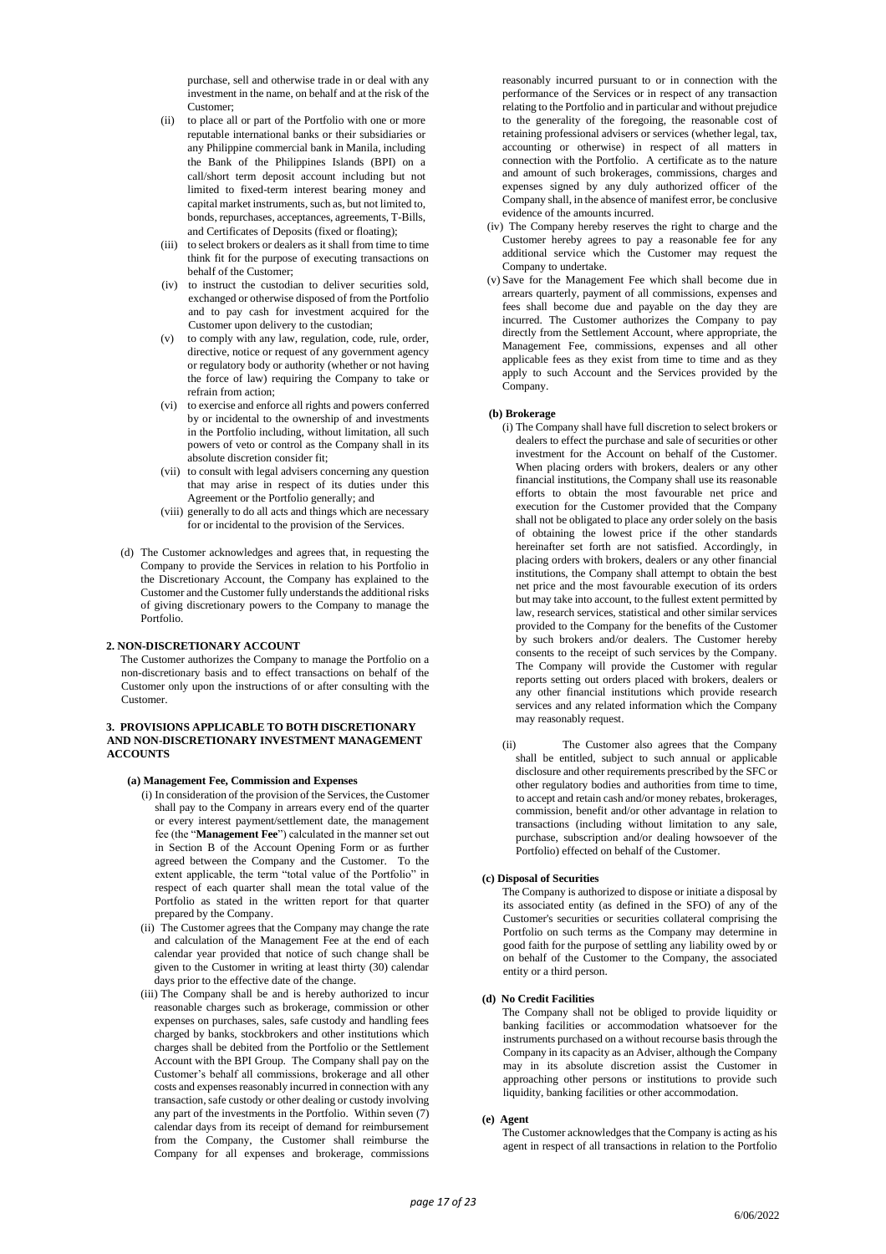purchase, sell and otherwise trade in or deal with any investment in the name, on behalf and at the risk of the Customer;

- (ii) to place all or part of the Portfolio with one or more reputable international banks or their subsidiaries or any Philippine commercial bank in Manila, including the Bank of the Philippines Islands (BPI) on a call/short term deposit account including but not limited to fixed-term interest bearing money and capital market instruments, such as, but not limited to, bonds, repurchases, acceptances, agreements, T-Bills, and Certificates of Deposits (fixed or floating);
- (iii) to select brokers or dealers as it shall from time to time think fit for the purpose of executing transactions on behalf of the Customer;
- (iv) to instruct the custodian to deliver securities sold, exchanged or otherwise disposed of from the Portfolio and to pay cash for investment acquired for the Customer upon delivery to the custodian;
- (v) to comply with any law, regulation, code, rule, order, directive, notice or request of any government agency or regulatory body or authority (whether or not having the force of law) requiring the Company to take or refrain from action;
- (vi) to exercise and enforce all rights and powers conferred by or incidental to the ownership of and investments in the Portfolio including, without limitation, all such powers of veto or control as the Company shall in its absolute discretion consider fit;
- (vii) to consult with legal advisers concerning any question that may arise in respect of its duties under this Agreement or the Portfolio generally; and
- (viii) generally to do all acts and things which are necessary for or incidental to the provision of the Services.
- (d) The Customer acknowledges and agrees that, in requesting the Company to provide the Services in relation to his Portfolio in the Discretionary Account, the Company has explained to the Customer and the Customer fully understands the additional risks of giving discretionary powers to the Company to manage the Portfolio.

# **2. NON-DISCRETIONARY ACCOUNT**

The Customer authorizes the Company to manage the Portfolio on a non-discretionary basis and to effect transactions on behalf of the Customer only upon the instructions of or after consulting with the Customer.

#### **3. PROVISIONS APPLICABLE TO BOTH DISCRETIONARY AND NON-DISCRETIONARY INVESTMENT MANAGEMENT ACCOUNTS**

#### **(a) Management Fee, Commission and Expenses**

- (i) In consideration of the provision of the Services, the Customer shall pay to the Company in arrears every end of the quarter or every interest payment/settlement date, the management fee (the "**Management Fee**") calculated in the manner set out in Section B of the Account Opening Form or as further agreed between the Company and the Customer. To the extent applicable, the term "total value of the Portfolio" in respect of each quarter shall mean the total value of the Portfolio as stated in the written report for that quarter prepared by the Company.
- (ii) The Customer agrees that the Company may change the rate and calculation of the Management Fee at the end of each calendar year provided that notice of such change shall be given to the Customer in writing at least thirty (30) calendar days prior to the effective date of the change.
- (iii) The Company shall be and is hereby authorized to incur reasonable charges such as brokerage, commission or other expenses on purchases, sales, safe custody and handling fees charged by banks, stockbrokers and other institutions which charges shall be debited from the Portfolio or the Settlement Account with the BPI Group. The Company shall pay on the Customer's behalf all commissions, brokerage and all other costs and expenses reasonably incurred in connection with any transaction, safe custody or other dealing or custody involving any part of the investments in the Portfolio. Within seven (7) calendar days from its receipt of demand for reimbursement from the Company, the Customer shall reimburse the Company for all expenses and brokerage, commissions

reasonably incurred pursuant to or in connection with the performance of the Services or in respect of any transaction relating to the Portfolio and in particular and without prejudice to the generality of the foregoing, the reasonable cost of retaining professional advisers or services (whether legal, tax, accounting or otherwise) in respect of all matters in connection with the Portfolio. A certificate as to the nature and amount of such brokerages, commissions, charges and expenses signed by any duly authorized officer of the Company shall, in the absence of manifest error, be conclusive evidence of the amounts incurred.

- (iv) The Company hereby reserves the right to charge and the Customer hereby agrees to pay a reasonable fee for any additional service which the Customer may request the Company to undertake.
- (v) Save for the Management Fee which shall become due in arrears quarterly, payment of all commissions, expenses and fees shall become due and payable on the day they are incurred. The Customer authorizes the Company to pay directly from the Settlement Account, where appropriate, the Management Fee, commissions, expenses and all other applicable fees as they exist from time to time and as they apply to such Account and the Services provided by the Company.

#### **(b) Brokerage**

- (i) The Company shall have full discretion to select brokers or dealers to effect the purchase and sale of securities or other investment for the Account on behalf of the Customer. When placing orders with brokers, dealers or any other financial institutions, the Company shall use its reasonable efforts to obtain the most favourable net price and execution for the Customer provided that the Company shall not be obligated to place any order solely on the basis of obtaining the lowest price if the other standards hereinafter set forth are not satisfied. Accordingly, in placing orders with brokers, dealers or any other financial institutions, the Company shall attempt to obtain the best net price and the most favourable execution of its orders but may take into account, to the fullest extent permitted by law, research services, statistical and other similar services provided to the Company for the benefits of the Customer by such brokers and/or dealers. The Customer hereby consents to the receipt of such services by the Company. The Company will provide the Customer with regular reports setting out orders placed with brokers, dealers or any other financial institutions which provide research services and any related information which the Company may reasonably request.
- (ii) The Customer also agrees that the Company shall be entitled, subject to such annual or applicable disclosure and other requirements prescribed by the SFC or other regulatory bodies and authorities from time to time, to accept and retain cash and/or money rebates, brokerages, commission, benefit and/or other advantage in relation to transactions (including without limitation to any sale, purchase, subscription and/or dealing howsoever of the Portfolio) effected on behalf of the Customer.

#### **(c) Disposal of Securities**

The Company is authorized to dispose or initiate a disposal by its associated entity (as defined in the SFO) of any of the Customer's securities or securities collateral comprising the Portfolio on such terms as the Company may determine in good faith for the purpose of settling any liability owed by or on behalf of the Customer to the Company, the associated entity or a third person.

# **(d) No Credit Facilities**

The Company shall not be obliged to provide liquidity or banking facilities or accommodation whatsoever for the instruments purchased on a without recourse basis through the Company in its capacity as an Adviser, although the Company may in its absolute discretion assist the Customer in approaching other persons or institutions to provide such liquidity, banking facilities or other accommodation.

#### **(e) Agent**

The Customer acknowledges that the Company is acting as his agent in respect of all transactions in relation to the Portfolio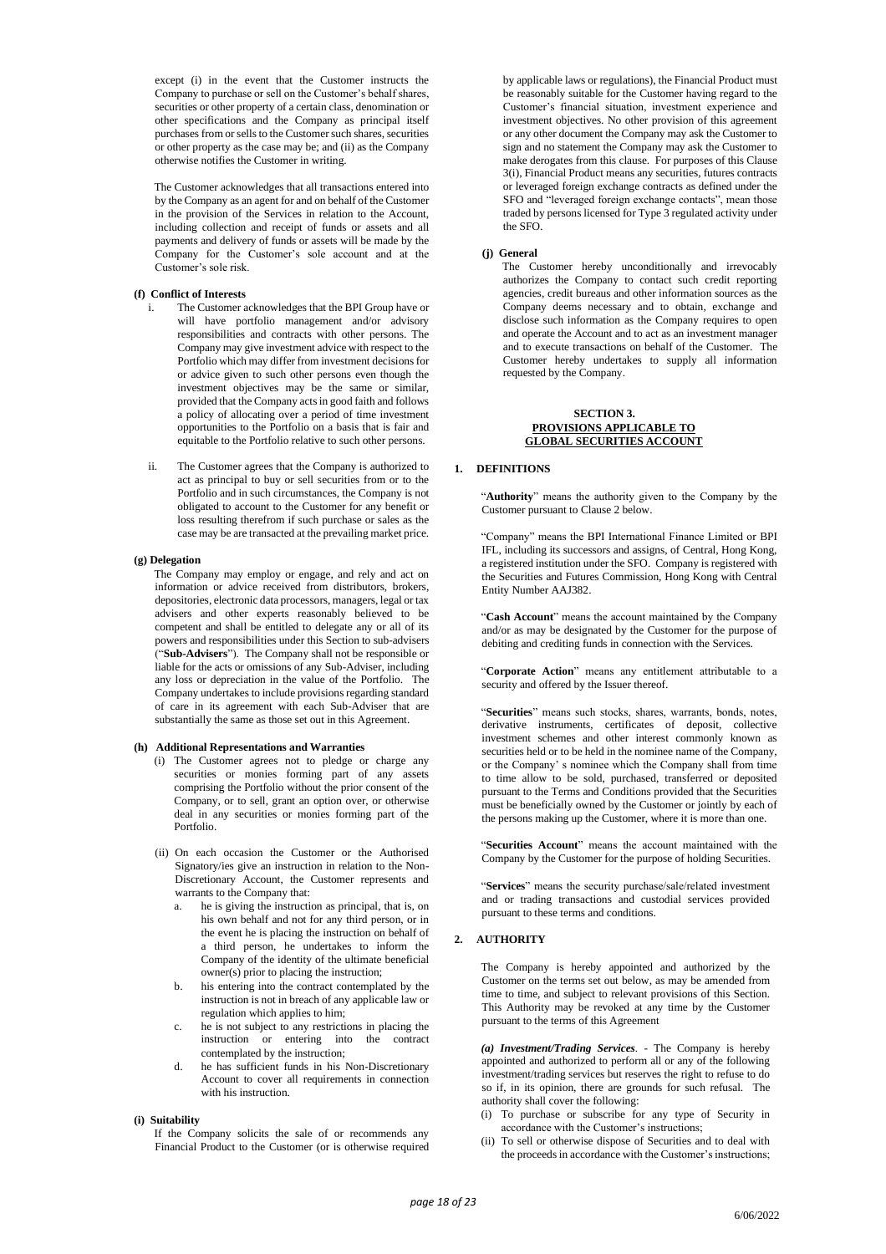except (i) in the event that the Customer instructs the Company to purchase or sell on the Customer's behalf shares, securities or other property of a certain class, denomination or other specifications and the Company as principal itself purchases from or sells to the Customer such shares, securities or other property as the case may be; and (ii) as the Company otherwise notifies the Customer in writing.

The Customer acknowledges that all transactions entered into by the Company as an agent for and on behalf of the Customer in the provision of the Services in relation to the Account, including collection and receipt of funds or assets and all payments and delivery of funds or assets will be made by the Company for the Customer's sole account and at the Customer's sole risk.

#### **(f) Conflict of Interests**

- i. The Customer acknowledges that the BPI Group have or will have portfolio management and/or advisory responsibilities and contracts with other persons. The Company may give investment advice with respect to the Portfolio which may differ from investment decisions for or advice given to such other persons even though the investment objectives may be the same or similar, provided that the Company acts in good faith and follows a policy of allocating over a period of time investment opportunities to the Portfolio on a basis that is fair and equitable to the Portfolio relative to such other persons.
- ii. The Customer agrees that the Company is authorized to act as principal to buy or sell securities from or to the Portfolio and in such circumstances, the Company is not obligated to account to the Customer for any benefit or loss resulting therefrom if such purchase or sales as the case may be are transacted at the prevailing market price.

#### **(g) Delegation**

The Company may employ or engage, and rely and act on information or advice received from distributors, brokers, depositories, electronic data processors, managers, legal or tax advisers and other experts reasonably believed to be competent and shall be entitled to delegate any or all of its powers and responsibilities under this Section to sub-advisers ("**Sub-Advisers**"). The Company shall not be responsible or liable for the acts or omissions of any Sub-Adviser, including any loss or depreciation in the value of the Portfolio. The Company undertakes to include provisions regarding standard of care in its agreement with each Sub-Adviser that are substantially the same as those set out in this Agreement.

#### **(h) Additional Representations and Warranties**

- (i) The Customer agrees not to pledge or charge any securities or monies forming part of any assets comprising the Portfolio without the prior consent of the Company, or to sell, grant an option over, or otherwise deal in any securities or monies forming part of the Portfolio.
- (ii) On each occasion the Customer or the Authorised Signatory/ies give an instruction in relation to the Non-Discretionary Account, the Customer represents and warrants to the Company that:
	- a. he is giving the instruction as principal, that is, on his own behalf and not for any third person, or in the event he is placing the instruction on behalf of a third person, he undertakes to inform the Company of the identity of the ultimate beneficial owner(s) prior to placing the instruction;
	- b. his entering into the contract contemplated by the instruction is not in breach of any applicable law or regulation which applies to him;
	- c. he is not subject to any restrictions in placing the instruction or entering into the contract contemplated by the instruction;
	- d. he has sufficient funds in his Non-Discretionary Account to cover all requirements in connection with his instruction.

### **(i) Suitability**

If the Company solicits the sale of or recommends any Financial Product to the Customer (or is otherwise required by applicable laws or regulations), the Financial Product must be reasonably suitable for the Customer having regard to the Customer's financial situation, investment experience and investment objectives. No other provision of this agreement or any other document the Company may ask the Customer to sign and no statement the Company may ask the Customer to make derogates from this clause. For purposes of this Clause 3(i), Financial Product means any securities, futures contracts or leveraged foreign exchange contracts as defined under the SFO and "leveraged foreign exchange contacts", mean those traded by persons licensed for Type 3 regulated activity under the SFO.

#### **(j) General**

The Customer hereby unconditionally and irrevocably authorizes the Company to contact such credit reporting agencies, credit bureaus and other information sources as the Company deems necessary and to obtain, exchange and disclose such information as the Company requires to open and operate the Account and to act as an investment manager and to execute transactions on behalf of the Customer. The Customer hereby undertakes to supply all information requested by the Company.

### **SECTION 3. PROVISIONS APPLICABLE TO GLOBAL SECURITIES ACCOUNT**

# **1. DEFINITIONS**

"**Authority**" means the authority given to the Company by the Customer pursuant to Clause 2 below.

"Company" means the BPI International Finance Limited or BPI IFL, including its successors and assigns, of Central, Hong Kong, a registered institution under the SFO. Company is registered with the Securities and Futures Commission, Hong Kong with Central Entity Number AAJ382.

"**Cash Account**" means the account maintained by the Company and/or as may be designated by the Customer for the purpose of debiting and crediting funds in connection with the Services.

"**Corporate Action**" means any entitlement attributable to a security and offered by the Issuer thereof.

"**Securities**" means such stocks, shares, warrants, bonds, notes, derivative instruments, certificates of deposit, collective investment schemes and other interest commonly known as securities held or to be held in the nominee name of the Company, or the Company' s nominee which the Company shall from time to time allow to be sold, purchased, transferred or deposited pursuant to the Terms and Conditions provided that the Securities must be beneficially owned by the Customer or jointly by each of the persons making up the Customer, where it is more than one.

"**Securities Account**" means the account maintained with the Company by the Customer for the purpose of holding Securities.

"**Services**" means the security purchase/sale/related investment and or trading transactions and custodial services provided pursuant to these terms and conditions.

# **2. AUTHORITY**

The Company is hereby appointed and authorized by the Customer on the terms set out below, as may be amended from time to time, and subject to relevant provisions of this Section. This Authority may be revoked at any time by the Customer pursuant to the terms of this Agreement

*(a) Investment/Trading Services. -* The Company is hereby appointed and authorized to perform all or any of the following investment/trading services but reserves the right to refuse to do so if, in its opinion, there are grounds for such refusal. The authority shall cover the following:

- (i) To purchase or subscribe for any type of Security in accordance with the Customer's instructions;
- (ii) To sell or otherwise dispose of Securities and to deal with the proceeds in accordance with the Customer's instructions;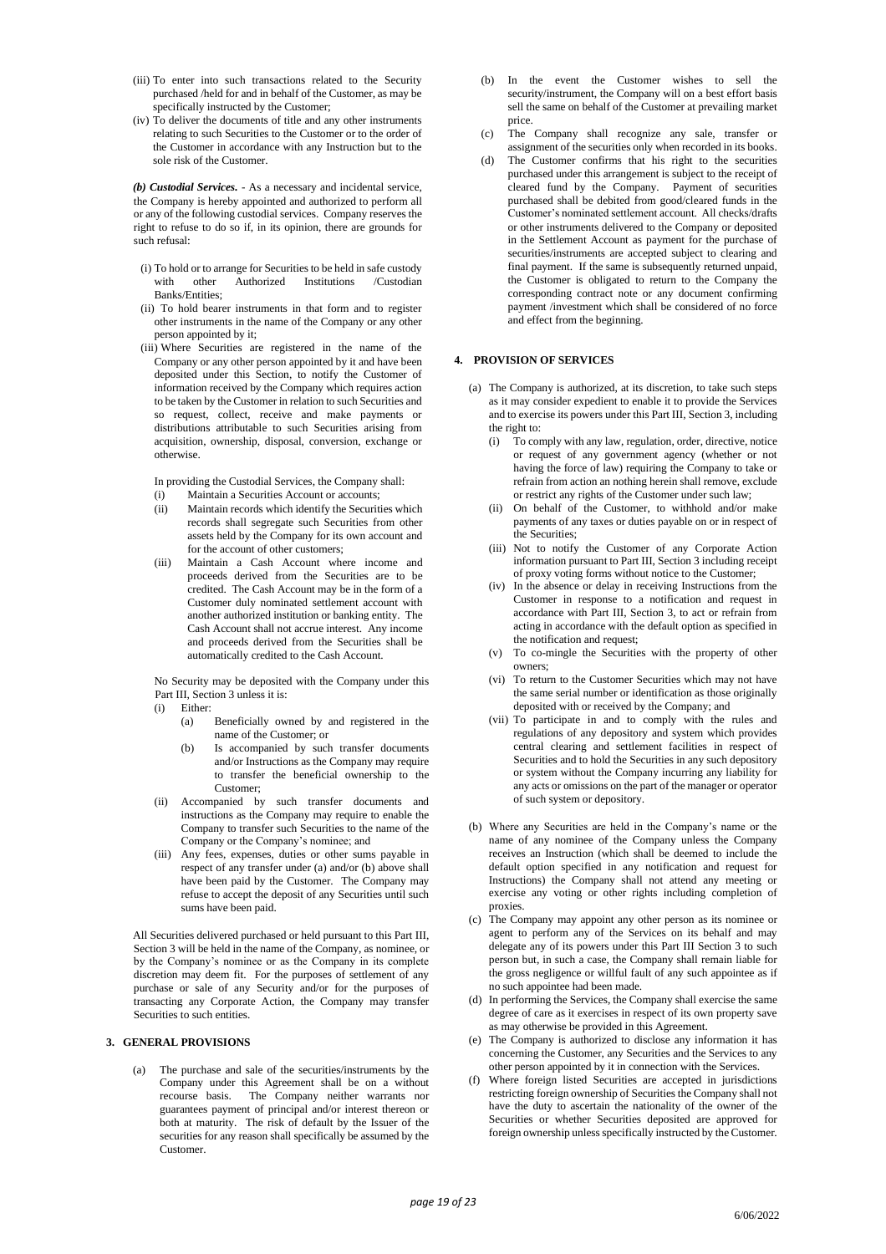- (iii) To enter into such transactions related to the Security purchased /held for and in behalf of the Customer, as may be specifically instructed by the Customer;
- (iv) To deliver the documents of title and any other instruments relating to such Securities to the Customer or to the order of the Customer in accordance with any Instruction but to the sole risk of the Customer.

*(b) Custodial Services. -* As a necessary and incidental service, the Company is hereby appointed and authorized to perform all or any of the following custodial services. Company reserves the right to refuse to do so if, in its opinion, there are grounds for such refusal:

- (i) To hold or to arrange for Securities to be held in safe custody<br>with other Authorized Institutions /Custodian Authorized Institutions Banks/Entities;
- (ii) To hold bearer instruments in that form and to register other instruments in the name of the Company or any other person appointed by it;
- (iii) Where Securities are registered in the name of the Company or any other person appointed by it and have been deposited under this Section, to notify the Customer of information received by the Company which requires action to be taken by the Customer in relation to such Securities and so request, collect, receive and make payments or distributions attributable to such Securities arising from acquisition, ownership, disposal, conversion, exchange or otherwise.

In providing the Custodial Services, the Company shall:

- (i) Maintain a Securities Account or accounts;
- (ii) Maintain records which identify the Securities which records shall segregate such Securities from other assets held by the Company for its own account and for the account of other customers;
- (iii) Maintain a Cash Account where income and proceeds derived from the Securities are to be credited. The Cash Account may be in the form of a Customer duly nominated settlement account with another authorized institution or banking entity. The Cash Account shall not accrue interest. Any income and proceeds derived from the Securities shall be automatically credited to the Cash Account.

No Security may be deposited with the Company under this Part III, Section 3 unless it is:

- (i) Either:
	- (a) Beneficially owned by and registered in the name of the Customer; or
	- (b) Is accompanied by such transfer documents and/or Instructions as the Company may require to transfer the beneficial ownership to the Customer;
- (ii) Accompanied by such transfer documents and instructions as the Company may require to enable the Company to transfer such Securities to the name of the Company or the Company's nominee; and
- (iii) Any fees, expenses, duties or other sums payable in respect of any transfer under (a) and/or (b) above shall have been paid by the Customer. The Company may refuse to accept the deposit of any Securities until such sums have been paid.

All Securities delivered purchased or held pursuant to this Part III, Section 3 will be held in the name of the Company, as nominee, or by the Company's nominee or as the Company in its complete discretion may deem fit. For the purposes of settlement of any purchase or sale of any Security and/or for the purposes of transacting any Corporate Action, the Company may transfer Securities to such entities.

# **3. GENERAL PROVISIONS**

(a) The purchase and sale of the securities/instruments by the Company under this Agreement shall be on a without recourse basis. The Company neither warrants nor guarantees payment of principal and/or interest thereon or both at maturity. The risk of default by the Issuer of the securities for any reason shall specifically be assumed by the Customer.

- (b) In the event the Customer wishes to sell the security/instrument, the Company will on a best effort basis sell the same on behalf of the Customer at prevailing market price.
- (c) The Company shall recognize any sale, transfer or assignment of the securities only when recorded in its books.
- (d) The Customer confirms that his right to the securities purchased under this arrangement is subject to the receipt of cleared fund by the Company. Payment of securities purchased shall be debited from good/cleared funds in the Customer's nominated settlement account. All checks/drafts or other instruments delivered to the Company or deposited in the Settlement Account as payment for the purchase of securities/instruments are accepted subject to clearing and final payment. If the same is subsequently returned unpaid, the Customer is obligated to return to the Company the corresponding contract note or any document confirming payment /investment which shall be considered of no force and effect from the beginning.

# **4. PROVISION OF SERVICES**

- (a) The Company is authorized, at its discretion, to take such steps as it may consider expedient to enable it to provide the Services and to exercise its powers under this Part III, Section 3, including the right to:
	- (i) To comply with any law, regulation, order, directive, notice or request of any government agency (whether or not having the force of law) requiring the Company to take or refrain from action an nothing herein shall remove, exclude or restrict any rights of the Customer under such law;
	- (ii) On behalf of the Customer, to withhold and/or make payments of any taxes or duties payable on or in respect of the Securities;
	- (iii) Not to notify the Customer of any Corporate Action information pursuant to Part III, Section 3 including receipt of proxy voting forms without notice to the Customer;
	- (iv) In the absence or delay in receiving Instructions from the Customer in response to a notification and request in accordance with Part III, Section 3, to act or refrain from acting in accordance with the default option as specified in the notification and request;
	- (v) To co-mingle the Securities with the property of other owners;
	- (vi) To return to the Customer Securities which may not have the same serial number or identification as those originally deposited with or received by the Company; and
	- (vii) To participate in and to comply with the rules and regulations of any depository and system which provides central clearing and settlement facilities in respect of Securities and to hold the Securities in any such depository or system without the Company incurring any liability for any acts or omissions on the part of the manager or operator of such system or depository.
- (b) Where any Securities are held in the Company's name or the name of any nominee of the Company unless the Company receives an Instruction (which shall be deemed to include the default option specified in any notification and request for Instructions) the Company shall not attend any meeting or exercise any voting or other rights including completion of proxies.
- (c) The Company may appoint any other person as its nominee or agent to perform any of the Services on its behalf and may delegate any of its powers under this Part III Section 3 to such person but, in such a case, the Company shall remain liable for the gross negligence or willful fault of any such appointee as if no such appointee had been made.
- (d) In performing the Services, the Company shall exercise the same degree of care as it exercises in respect of its own property save as may otherwise be provided in this Agreement.
- (e) The Company is authorized to disclose any information it has concerning the Customer, any Securities and the Services to any other person appointed by it in connection with the Services.
- Where foreign listed Securities are accepted in jurisdictions restricting foreign ownership of Securities the Company shall not have the duty to ascertain the nationality of the owner of the Securities or whether Securities deposited are approved for foreign ownership unless specifically instructed by the Customer.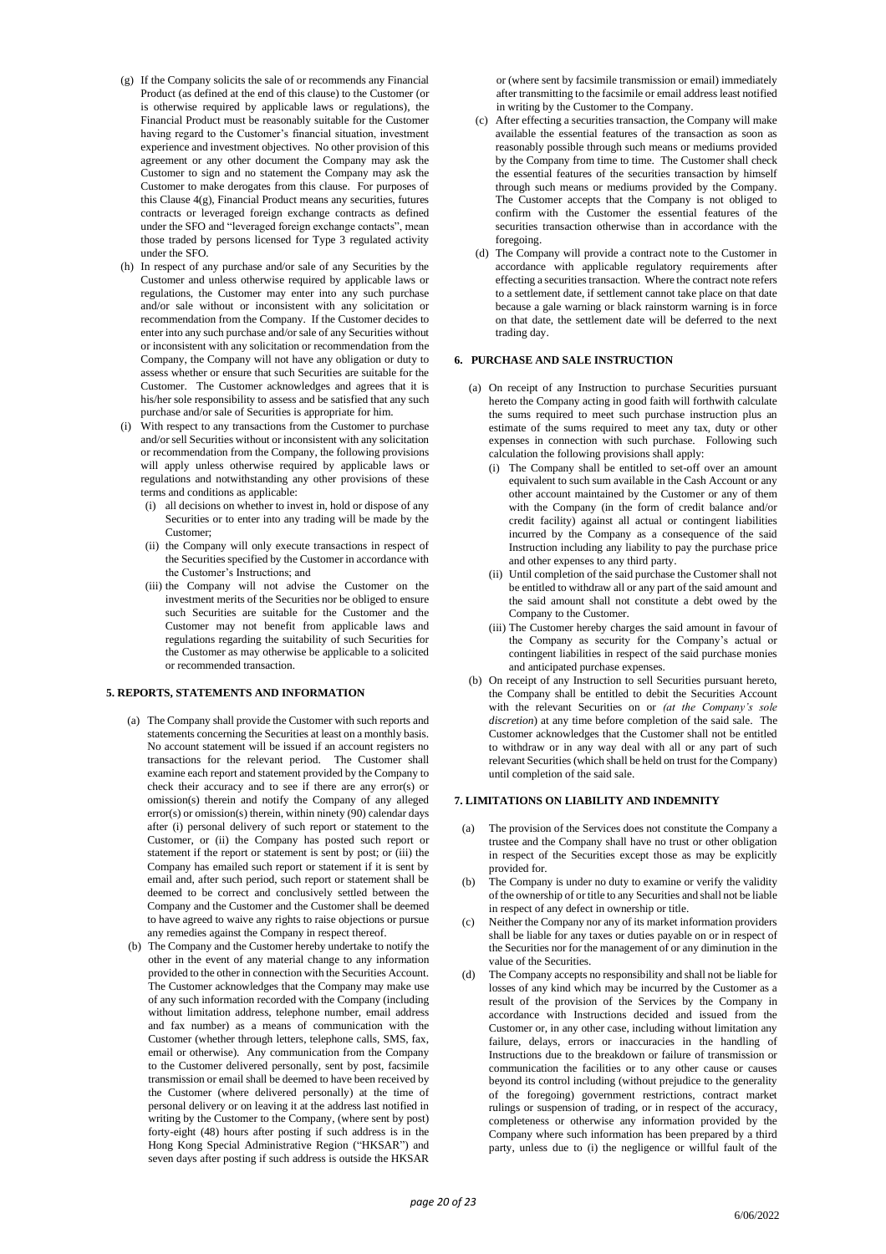- (g) If the Company solicits the sale of or recommends any Financial Product (as defined at the end of this clause) to the Customer (or is otherwise required by applicable laws or regulations), the Financial Product must be reasonably suitable for the Customer having regard to the Customer's financial situation, investment experience and investment objectives. No other provision of this agreement or any other document the Company may ask the Customer to sign and no statement the Company may ask the Customer to make derogates from this clause. For purposes of this Clause 4(g), Financial Product means any securities, futures contracts or leveraged foreign exchange contracts as defined under the SFO and "leveraged foreign exchange contacts", mean those traded by persons licensed for Type 3 regulated activity under the SFO.
- (h) In respect of any purchase and/or sale of any Securities by the Customer and unless otherwise required by applicable laws or regulations, the Customer may enter into any such purchase and/or sale without or inconsistent with any solicitation or recommendation from the Company. If the Customer decides to enter into any such purchase and/or sale of any Securities without or inconsistent with any solicitation or recommendation from the Company, the Company will not have any obligation or duty to assess whether or ensure that such Securities are suitable for the Customer. The Customer acknowledges and agrees that it is his/her sole responsibility to assess and be satisfied that any such purchase and/or sale of Securities is appropriate for him.
- (i) With respect to any transactions from the Customer to purchase and/or sell Securities without or inconsistent with any solicitation or recommendation from the Company, the following provisions will apply unless otherwise required by applicable laws or regulations and notwithstanding any other provisions of these terms and conditions as applicable:
	- (i) all decisions on whether to invest in, hold or dispose of any Securities or to enter into any trading will be made by the Customer;
	- (ii) the Company will only execute transactions in respect of the Securities specified by the Customer in accordance with the Customer's Instructions; and
	- (iii) the Company will not advise the Customer on the investment merits of the Securities nor be obliged to ensure such Securities are suitable for the Customer and the Customer may not benefit from applicable laws and regulations regarding the suitability of such Securities for the Customer as may otherwise be applicable to a solicited or recommended transaction.

#### **5. REPORTS, STATEMENTS AND INFORMATION**

- (a) The Company shall provide the Customer with such reports and statements concerning the Securities at least on a monthly basis. No account statement will be issued if an account registers no transactions for the relevant period. The Customer shall examine each report and statement provided by the Company to check their accuracy and to see if there are any error(s) or omission(s) therein and notify the Company of any alleged error(s) or omission(s) therein, within ninety (90) calendar days after (i) personal delivery of such report or statement to the Customer, or (ii) the Company has posted such report or statement if the report or statement is sent by post; or (iii) the Company has emailed such report or statement if it is sent by email and, after such period, such report or statement shall be deemed to be correct and conclusively settled between the Company and the Customer and the Customer shall be deemed to have agreed to waive any rights to raise objections or pursue any remedies against the Company in respect thereof.
- (b) The Company and the Customer hereby undertake to notify the other in the event of any material change to any information provided to the other in connection with the Securities Account. The Customer acknowledges that the Company may make use of any such information recorded with the Company (including without limitation address, telephone number, email address and fax number) as a means of communication with the Customer (whether through letters, telephone calls, SMS, fax, email or otherwise). Any communication from the Company to the Customer delivered personally, sent by post, facsimile transmission or email shall be deemed to have been received by the Customer (where delivered personally) at the time of personal delivery or on leaving it at the address last notified in writing by the Customer to the Company, (where sent by post) forty-eight (48) hours after posting if such address is in the Hong Kong Special Administrative Region ("HKSAR") and seven days after posting if such address is outside the HKSAR

or (where sent by facsimile transmission or email) immediately after transmitting to the facsimile or email address least notified in writing by the Customer to the Company.

- (c) After effecting a securities transaction, the Company will make available the essential features of the transaction as soon as reasonably possible through such means or mediums provided by the Company from time to time. The Customer shall check the essential features of the securities transaction by himself through such means or mediums provided by the Company. The Customer accepts that the Company is not obliged to confirm with the Customer the essential features of the securities transaction otherwise than in accordance with the foregoing.
- (d) The Company will provide a contract note to the Customer in accordance with applicable regulatory requirements after effecting a securities transaction. Where the contract note refers to a settlement date, if settlement cannot take place on that date because a gale warning or black rainstorm warning is in force on that date, the settlement date will be deferred to the next trading day.

#### **6. PURCHASE AND SALE INSTRUCTION**

- (a) On receipt of any Instruction to purchase Securities pursuant hereto the Company acting in good faith will forthwith calculate the sums required to meet such purchase instruction plus an estimate of the sums required to meet any tax, duty or other expenses in connection with such purchase. Following such calculation the following provisions shall apply:
	- (i) The Company shall be entitled to set-off over an amount equivalent to such sum available in the Cash Account or any other account maintained by the Customer or any of them with the Company (in the form of credit balance and/or credit facility) against all actual or contingent liabilities incurred by the Company as a consequence of the said Instruction including any liability to pay the purchase price and other expenses to any third party.
	- (ii) Until completion of the said purchase the Customer shall not be entitled to withdraw all or any part of the said amount and the said amount shall not constitute a debt owed by the Company to the Customer.
	- (iii) The Customer hereby charges the said amount in favour of the Company as security for the Company's actual or contingent liabilities in respect of the said purchase monies and anticipated purchase expenses.
- (b) On receipt of any Instruction to sell Securities pursuant hereto, the Company shall be entitled to debit the Securities Account with the relevant Securities on or *(at the Company's sole discretion*) at any time before completion of the said sale. The Customer acknowledges that the Customer shall not be entitled to withdraw or in any way deal with all or any part of such relevant Securities (which shall be held on trust for the Company) until completion of the said sale.

#### **7. LIMITATIONS ON LIABILITY AND INDEMNITY**

- (a) The provision of the Services does not constitute the Company a trustee and the Company shall have no trust or other obligation in respect of the Securities except those as may be explicitly provided for.
- The Company is under no duty to examine or verify the validity of the ownership of or title to any Securities and shall not be liable in respect of any defect in ownership or title.
- (c) Neither the Company nor any of its market information providers shall be liable for any taxes or duties payable on or in respect of the Securities nor for the management of or any diminution in the value of the Securities.
- (d) The Company accepts no responsibility and shall not be liable for losses of any kind which may be incurred by the Customer as a result of the provision of the Services by the Company in accordance with Instructions decided and issued from the Customer or, in any other case, including without limitation any failure, delays, errors or inaccuracies in the handling of Instructions due to the breakdown or failure of transmission or communication the facilities or to any other cause or causes beyond its control including (without prejudice to the generality of the foregoing) government restrictions, contract market rulings or suspension of trading, or in respect of the accuracy, completeness or otherwise any information provided by the Company where such information has been prepared by a third party, unless due to (i) the negligence or willful fault of the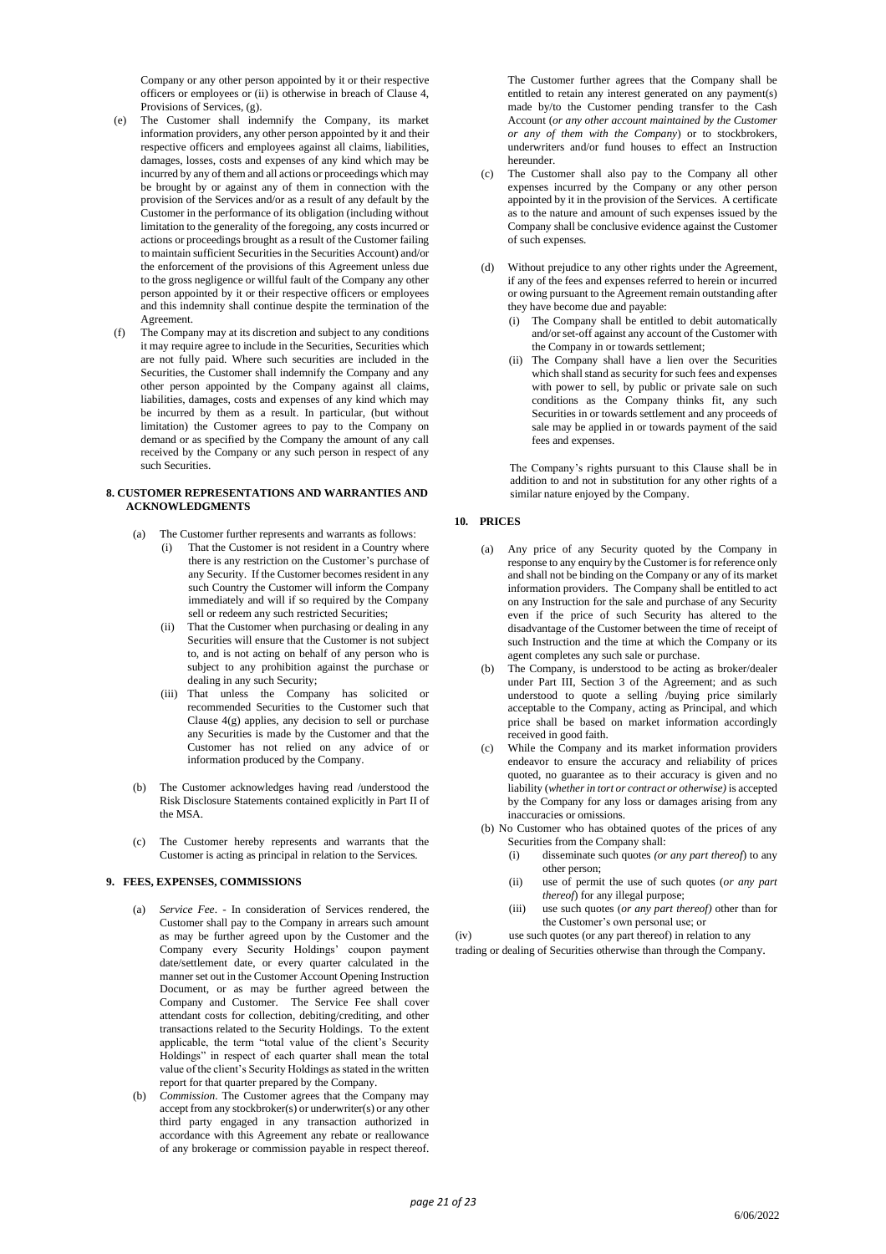Company or any other person appointed by it or their respective officers or employees or (ii) is otherwise in breach of Clause 4, Provisions of Services, (g).

- (e) The Customer shall indemnify the Company, its market information providers, any other person appointed by it and their respective officers and employees against all claims, liabilities, damages, losses, costs and expenses of any kind which may be incurred by any of them and all actions or proceedings which may be brought by or against any of them in connection with the provision of the Services and/or as a result of any default by the Customer in the performance of its obligation (including without limitation to the generality of the foregoing, any costs incurred or actions or proceedings brought as a result of the Customer failing to maintain sufficient Securities in the Securities Account) and/or the enforcement of the provisions of this Agreement unless due to the gross negligence or willful fault of the Company any other person appointed by it or their respective officers or employees and this indemnity shall continue despite the termination of the Agreement.
- (f) The Company may at its discretion and subject to any conditions it may require agree to include in the Securities, Securities which are not fully paid. Where such securities are included in the Securities, the Customer shall indemnify the Company and any other person appointed by the Company against all claims, liabilities, damages, costs and expenses of any kind which may be incurred by them as a result. In particular, (but without limitation) the Customer agrees to pay to the Company on demand or as specified by the Company the amount of any call received by the Company or any such person in respect of any such Securities.

#### **8. CUSTOMER REPRESENTATIONS AND WARRANTIES AND ACKNOWLEDGMENTS**

- (a) The Customer further represents and warrants as follows:
	- (i) That the Customer is not resident in a Country where there is any restriction on the Customer's purchase of any Security. If the Customer becomes resident in any such Country the Customer will inform the Company immediately and will if so required by the Company sell or redeem any such restricted Securities;
	- That the Customer when purchasing or dealing in any Securities will ensure that the Customer is not subject to, and is not acting on behalf of any person who is subject to any prohibition against the purchase or dealing in any such Security;
	- (iii) That unless the Company has solicited or recommended Securities to the Customer such that Clause 4(g) applies, any decision to sell or purchase any Securities is made by the Customer and that the Customer has not relied on any advice of or information produced by the Company.
- (b) The Customer acknowledges having read /understood the Risk Disclosure Statements contained explicitly in Part II of the MSA.
- (c) The Customer hereby represents and warrants that the Customer is acting as principal in relation to the Services.

#### **9. FEES, EXPENSES, COMMISSIONS**

- (a) *Service Fee*. In consideration of Services rendered, the Customer shall pay to the Company in arrears such amount as may be further agreed upon by the Customer and the Company every Security Holdings' coupon payment date/settlement date, or every quarter calculated in the manner set out in the Customer Account Opening Instruction Document, or as may be further agreed between the Company and Customer. The Service Fee shall cover attendant costs for collection, debiting/crediting, and other transactions related to the Security Holdings. To the extent applicable, the term "total value of the client's Security Holdings" in respect of each quarter shall mean the total value of the client's Security Holdings as stated in the written report for that quarter prepared by the Company.
- (b) *Commission*. The Customer agrees that the Company may accept from any stockbroker(s) or underwriter(s) or any other third party engaged in any transaction authorized in accordance with this Agreement any rebate or reallowance of any brokerage or commission payable in respect thereof.

The Customer further agrees that the Company shall be entitled to retain any interest generated on any payment(s) made by/to the Customer pending transfer to the Cash Account (*or any other account maintained by the Customer or any of them with the Company*) or to stockbrokers, underwriters and/or fund houses to effect an Instruction hereunder.

- (c) The Customer shall also pay to the Company all other expenses incurred by the Company or any other person appointed by it in the provision of the Services. A certificate as to the nature and amount of such expenses issued by the Company shall be conclusive evidence against the Customer of such expenses.
- (d) Without prejudice to any other rights under the Agreement, if any of the fees and expenses referred to herein or incurred or owing pursuant to the Agreement remain outstanding after they have become due and payable:
	- (i) The Company shall be entitled to debit automatically and/or set-off against any account of the Customer with the Company in or towards settlement;
	- (ii) The Company shall have a lien over the Securities which shall stand as security for such fees and expenses with power to sell, by public or private sale on such conditions as the Company thinks fit, any such Securities in or towards settlement and any proceeds of sale may be applied in or towards payment of the said fees and expenses.

The Company's rights pursuant to this Clause shall be in addition to and not in substitution for any other rights of a similar nature enjoyed by the Company.

### **10. PRICES**

- (a) Any price of any Security quoted by the Company in response to any enquiry by the Customer is for reference only and shall not be binding on the Company or any of its market information providers. The Company shall be entitled to act on any Instruction for the sale and purchase of any Security even if the price of such Security has altered to the disadvantage of the Customer between the time of receipt of such Instruction and the time at which the Company or its agent completes any such sale or purchase.
- The Company, is understood to be acting as broker/dealer under Part III, Section 3 of the Agreement; and as such understood to quote a selling /buying price similarly acceptable to the Company, acting as Principal, and which price shall be based on market information accordingly received in good faith.
- (c) While the Company and its market information providers endeavor to ensure the accuracy and reliability of prices quoted, no guarantee as to their accuracy is given and no liability (*whether in tort or contract or otherwise)* is accepted by the Company for any loss or damages arising from any inaccuracies or omissions.
- (b) No Customer who has obtained quotes of the prices of any Securities from the Company shall:
	- (i) disseminate such quotes *(or any part thereof*) to any other person;
	- (ii) use of permit the use of such quotes (*or any part thereof*) for any illegal purpose;
	- (iii) use such quotes (*or any part thereof)* other than for the Customer's own personal use; or

(iv) use such quotes (or any part thereof) in relation to any trading or dealing of Securities otherwise than through the Company.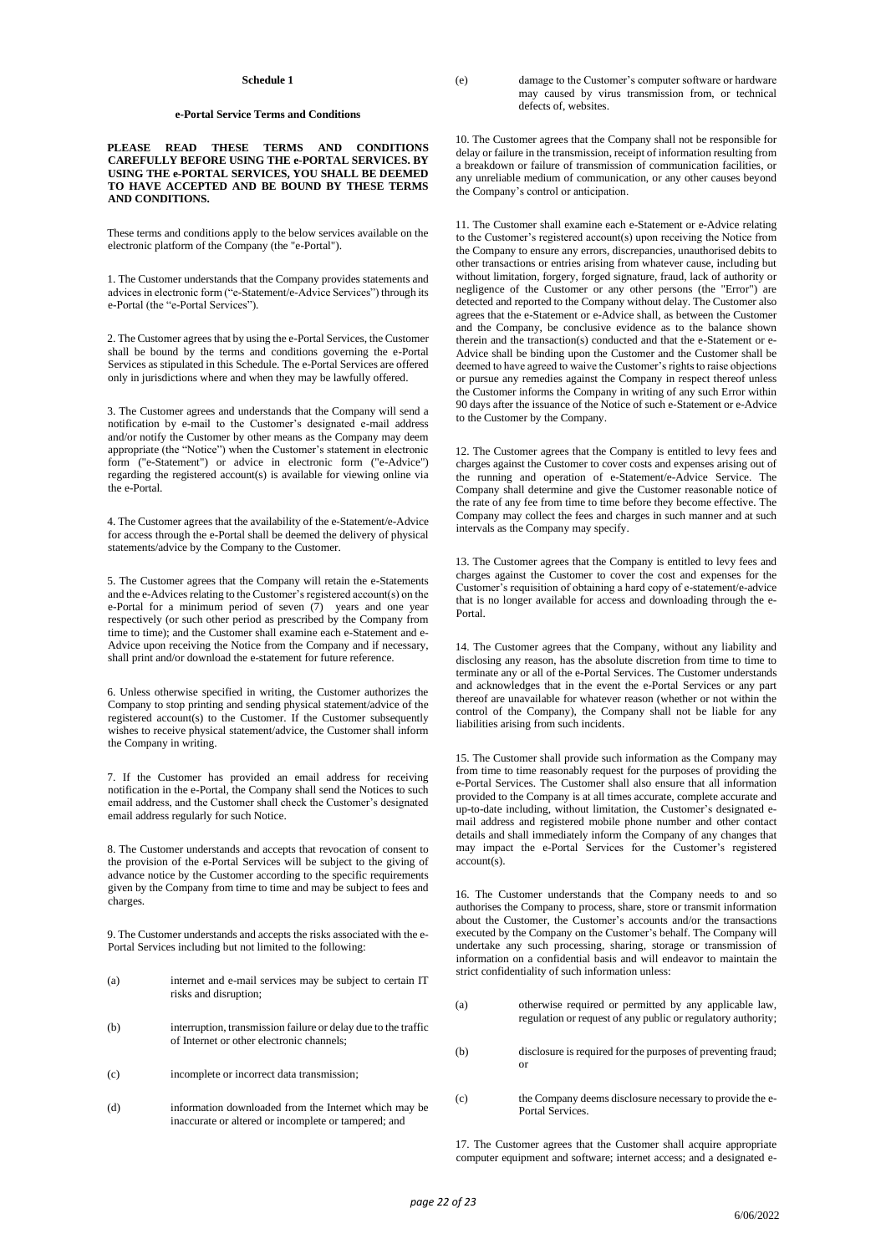#### **Schedule 1**

#### **e-Portal Service Terms and Conditions**

**PLEASE READ THESE TERMS AND CONDITIONS CAREFULLY BEFORE USING THE e-PORTAL SERVICES. BY USING THE e-PORTAL SERVICES, YOU SHALL BE DEEMED TO HAVE ACCEPTED AND BE BOUND BY THESE TERMS AND CONDITIONS.**

These terms and conditions apply to the below services available on the electronic platform of the Company (the "e-Portal").

1. The Customer understands that the Company provides statements and advices in electronic form ("e-Statement/e-Advice Services") through its e-Portal (the "e-Portal Services").

2. The Customer agrees that by using the e-Portal Services, the Customer shall be bound by the terms and conditions governing the e-Portal Services as stipulated in this Schedule. The e-Portal Services are offered only in jurisdictions where and when they may be lawfully offered.

3. The Customer agrees and understands that the Company will send a notification by e-mail to the Customer's designated e-mail address and/or notify the Customer by other means as the Company may deem appropriate (the "Notice") when the Customer's statement in electronic form ("e-Statement") or advice in electronic form ("e-Advice") regarding the registered account(s) is available for viewing online via the e-Portal.

4. The Customer agrees that the availability of the e-Statement/e-Advice for access through the e-Portal shall be deemed the delivery of physical statements/advice by the Company to the Customer.

5. The Customer agrees that the Company will retain the e-Statements and the e-Advices relating to the Customer's registered account(s) on the e-Portal for a minimum period of seven (7) years and one year respectively (or such other period as prescribed by the Company from time to time); and the Customer shall examine each e-Statement and e-Advice upon receiving the Notice from the Company and if necessary, shall print and/or download the e-statement for future reference.

6. Unless otherwise specified in writing, the Customer authorizes the Company to stop printing and sending physical statement/advice of the registered account(s) to the Customer. If the Customer subsequently wishes to receive physical statement/advice, the Customer shall inform the Company in writing.

7. If the Customer has provided an email address for receiving notification in the e-Portal, the Company shall send the Notices to such email address, and the Customer shall check the Customer's designated email address regularly for such Notice.

8. The Customer understands and accepts that revocation of consent to the provision of the e-Portal Services will be subject to the giving of advance notice by the Customer according to the specific requirements given by the Company from time to time and may be subject to fees and charges.

9. The Customer understands and accepts the risks associated with the e-Portal Services including but not limited to the following:

- (a) internet and e-mail services may be subject to certain IT risks and disruption;
- (b) interruption, transmission failure or delay due to the traffic of Internet or other electronic channels;
- (c) incomplete or incorrect data transmission;
- (d) information downloaded from the Internet which may be inaccurate or altered or incomplete or tampered; and

(e) damage to the Customer's computer software or hardware may caused by virus transmission from, or technical defects of, websites.

10. The Customer agrees that the Company shall not be responsible for delay or failure in the transmission, receipt of information resulting from a breakdown or failure of transmission of communication facilities, or any unreliable medium of communication, or any other causes beyond the Company's control or anticipation.

11. The Customer shall examine each e-Statement or e-Advice relating to the Customer's registered account(s) upon receiving the Notice from the Company to ensure any errors, discrepancies, unauthorised debits to other transactions or entries arising from whatever cause, including but without limitation, forgery, forged signature, fraud, lack of authority or negligence of the Customer or any other persons (the "Error") are detected and reported to the Company without delay. The Customer also agrees that the e-Statement or e-Advice shall, as between the Customer and the Company, be conclusive evidence as to the balance shown therein and the transaction(s) conducted and that the e-Statement or e-Advice shall be binding upon the Customer and the Customer shall be deemed to have agreed to waive the Customer's rights to raise objections or pursue any remedies against the Company in respect thereof unless the Customer informs the Company in writing of any such Error within 90 days after the issuance of the Notice of such e-Statement or e-Advice to the Customer by the Company.

12. The Customer agrees that the Company is entitled to levy fees and charges against the Customer to cover costs and expenses arising out of the running and operation of e-Statement/e-Advice Service. The Company shall determine and give the Customer reasonable notice of the rate of any fee from time to time before they become effective. The Company may collect the fees and charges in such manner and at such intervals as the Company may specify.

13. The Customer agrees that the Company is entitled to levy fees and charges against the Customer to cover the cost and expenses for the Customer's requisition of obtaining a hard copy of e-statement/e-advice that is no longer available for access and downloading through the e-Portal.

14. The Customer agrees that the Company, without any liability and disclosing any reason, has the absolute discretion from time to time to terminate any or all of the e-Portal Services. The Customer understands and acknowledges that in the event the e-Portal Services or any part thereof are unavailable for whatever reason (whether or not within the control of the Company), the Company shall not be liable for any liabilities arising from such incidents.

15. The Customer shall provide such information as the Company may from time to time reasonably request for the purposes of providing the e-Portal Services. The Customer shall also ensure that all information provided to the Company is at all times accurate, complete accurate and up-to-date including, without limitation, the Customer's designated email address and registered mobile phone number and other contact details and shall immediately inform the Company of any changes that may impact the e-Portal Services for the Customer's registered  $account(s)$ .

16. The Customer understands that the Company needs to and so authorises the Company to process, share, store or transmit information about the Customer, the Customer's accounts and/or the transactions executed by the Company on the Customer's behalf. The Company will undertake any such processing, sharing, storage or transmission of information on a confidential basis and will endeavor to maintain the strict confidentiality of such information unless:

- (a) otherwise required or permitted by any applicable law, regulation or request of any public or regulatory authority;
- (b) disclosure is required for the purposes of preventing fraud; or
- (c) the Company deems disclosure necessary to provide the e-Portal Services.

17. The Customer agrees that the Customer shall acquire appropriate computer equipment and software; internet access; and a designated e-